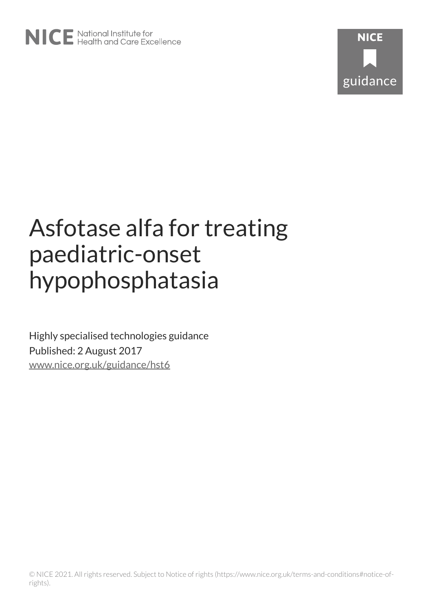# Asfotase alfa for treating paediatric-onset hypophosphatasia

Highly specialised technologies guidance Published: 2 August 2017 [www.nice.org.uk/guidance/hst6](https://www.nice.org.uk/guidance/hst6)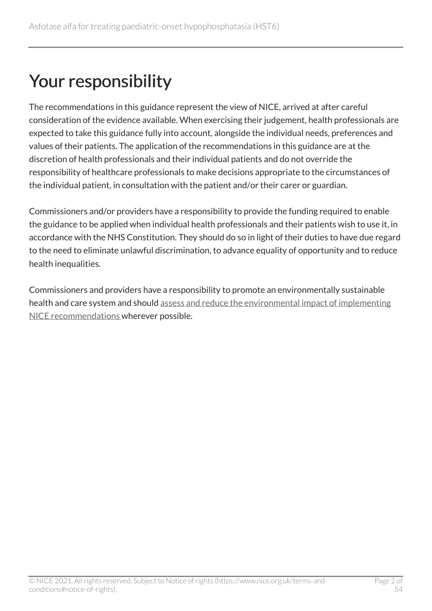## Your responsibility

The recommendations in this guidance represent the view of NICE, arrived at after careful consideration of the evidence available. When exercising their judgement, health professionals are expected to take this guidance fully into account, alongside the individual needs, preferences and values of their patients. The application of the recommendations in this guidance are at the discretion of health professionals and their individual patients and do not override the responsibility of healthcare professionals to make decisions appropriate to the circumstances of the individual patient, in consultation with the patient and/or their carer or guardian.

Commissioners and/or providers have a responsibility to provide the funding required to enable the guidance to be applied when individual health professionals and their patients wish to use it, in accordance with the NHS Constitution. They should do so in light of their duties to have due regard to the need to eliminate unlawful discrimination, to advance equality of opportunity and to reduce health inequalities.

Commissioners and providers have a responsibility to promote an environmentally sustainable health and care system and should [assess and reduce the environmental impact of implementing](https://www.nice.org.uk/about/who-we-are/sustainability)  [NICE recommendations w](https://www.nice.org.uk/about/who-we-are/sustainability)herever possible.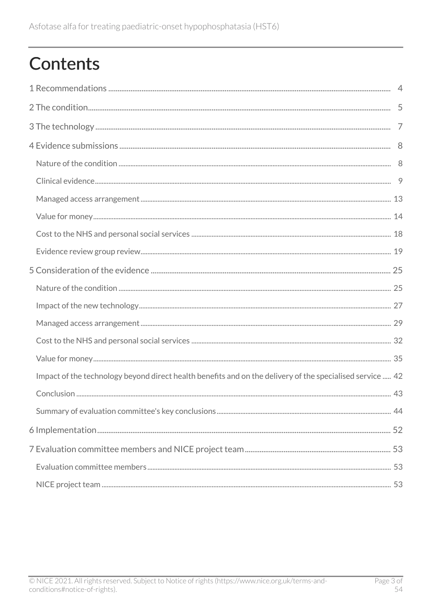## **Contents**

| Impact of the technology beyond direct health benefits and on the delivery of the specialised service  42 |  |
|-----------------------------------------------------------------------------------------------------------|--|
|                                                                                                           |  |
|                                                                                                           |  |
|                                                                                                           |  |
|                                                                                                           |  |
|                                                                                                           |  |
|                                                                                                           |  |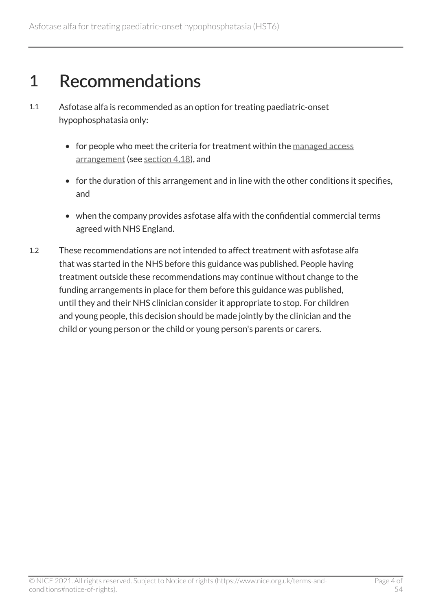## <span id="page-3-0"></span>1 Recommendations

- 1.1 Asfotase alfa is recommended as an option for treating paediatric-onset hypophosphatasia only:
	- for people who meet the criteria for treatment within the managed access [arrangement](http://www.nice.org.uk/guidance/hst6/resources) (see [section](#page-12-0) 4.18), and
	- for the duration of this arrangement and in line with the other conditions it specifies, and
	- when the company provides asfotase alfa with the confidential commercial terms agreed with NHS England.
- 1.2 These recommendations are not intended to affect treatment with asfotase alfa that was started in the NHS before this guidance was published. People having treatment outside these recommendations may continue without change to the funding arrangements in place for them before this guidance was published, until they and their NHS clinician consider it appropriate to stop. For children and young people, this decision should be made jointly by the clinician and the child or young person or the child or young person's parents or carers.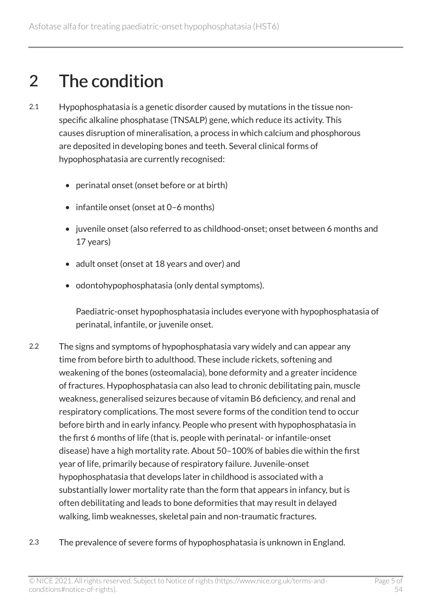## <span id="page-4-0"></span>2 The condition

- 2.1 Hypophosphatasia is a genetic disorder caused by mutations in the tissue nonspecific alkaline phosphatase (TNSALP) gene, which reduce its activity. This causes disruption of mineralisation, a process in which calcium and phosphorous are deposited in developing bones and teeth. Several clinical forms of hypophosphatasia are currently recognised:
	- perinatal onset (onset before or at birth)
	- infantile onset (onset at 0–6 months)
	- juvenile onset (also referred to as childhood-onset; onset between 6 months and 17 years)
	- adult onset (onset at 18 years and over) and
	- odontohypophosphatasia (only dental symptoms).

Paediatric-onset hypophosphatasia includes everyone with hypophosphatasia of perinatal, infantile, or juvenile onset.

- 2.2 The signs and symptoms of hypophosphatasia vary widely and can appear any time from before birth to adulthood. These include rickets, softening and weakening of the bones (osteomalacia), bone deformity and a greater incidence of fractures. Hypophosphatasia can also lead to chronic debilitating pain, muscle weakness, generalised seizures because of vitamin B6 deficiency, and renal and respiratory complications. The most severe forms of the condition tend to occur before birth and in early infancy. People who present with hypophosphatasia in the first 6 months of life (that is, people with perinatal- or infantile-onset disease) have a high mortality rate. About 50–100% of babies die within the first year of life, primarily because of respiratory failure. Juvenile-onset hypophosphatasia that develops later in childhood is associated with a substantially lower mortality rate than the form that appears in infancy, but is often debilitating and leads to bone deformities that may result in delayed walking, limb weaknesses, skeletal pain and non-traumatic fractures.
- 2.3 The prevalence of severe forms of hypophosphatasia is unknown in England.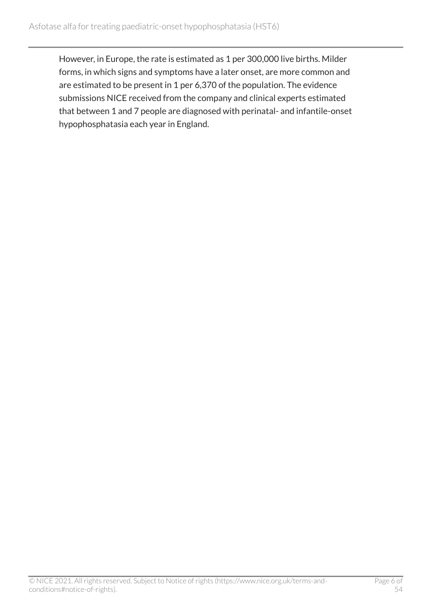However, in Europe, the rate is estimated as 1 per 300,000 live births. Milder forms, in which signs and symptoms have a later onset, are more common and are estimated to be present in 1 per 6,370 of the population. The evidence submissions NICE received from the company and clinical experts estimated that between 1 and 7 people are diagnosed with perinatal- and infantile-onset hypophosphatasia each year in England.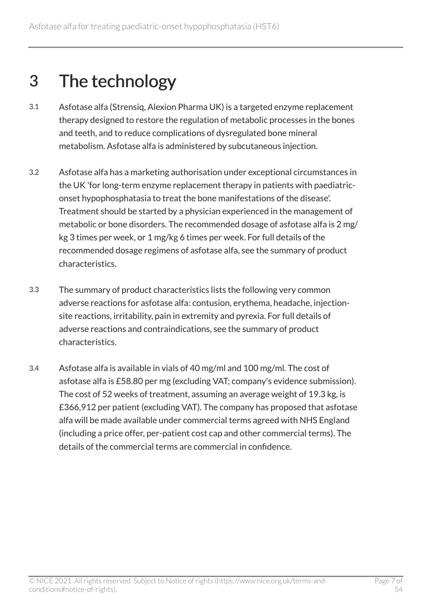## <span id="page-6-0"></span>3 The technology

- 3.1 Asfotase alfa (Strensiq, Alexion Pharma UK) is a targeted enzyme replacement therapy designed to restore the regulation of metabolic processes in the bones and teeth, and to reduce complications of dysregulated bone mineral metabolism. Asfotase alfa is administered by subcutaneous injection.
- 3.2 Asfotase alfa has a marketing authorisation under exceptional circumstances in the UK 'for long-term enzyme replacement therapy in patients with paediatriconset hypophosphatasia to treat the bone manifestations of the disease'. Treatment should be started by a physician experienced in the management of metabolic or bone disorders. The recommended dosage of asfotase alfa is 2 mg/ kg 3 times per week, or 1 mg/kg 6 times per week. For full details of the recommended dosage regimens of asfotase alfa, see the summary of product characteristics.
- 3.3 The summary of product characteristics lists the following very common adverse reactions for asfotase alfa: contusion, erythema, headache, injectionsite reactions, irritability, pain in extremity and pyrexia. For full details of adverse reactions and contraindications, see the summary of product characteristics.
- 3.4 Asfotase alfa is available in vials of 40 mg/ml and 100 mg/ml. The cost of asfotase alfa is £58.80 per mg (excluding VAT; company's evidence submission). The cost of 52 weeks of treatment, assuming an average weight of 19.3 kg, is £366,912 per patient (excluding VAT). The company has proposed that asfotase alfa will be made available under commercial terms agreed with NHS England (including a price offer, per-patient cost cap and other commercial terms). The details of the commercial terms are commercial in confidence.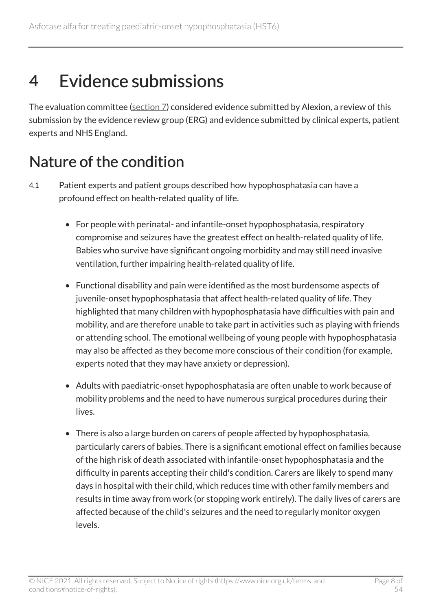## <span id="page-7-0"></span>4 Evidence submissions

The evaluation committee [\(section 7\)](#page-52-1) considered evidence submitted by Alexion, a review of this submission by the evidence review group (ERG) and evidence submitted by clinical experts, patient experts and NHS England.

## <span id="page-7-1"></span>Nature of the condition

- 4.1 Patient experts and patient groups described how hypophosphatasia can have a profound effect on health-related quality of life.
	- For people with perinatal- and infantile-onset hypophosphatasia, respiratory compromise and seizures have the greatest effect on health-related quality of life. Babies who survive have significant ongoing morbidity and may still need invasive ventilation, further impairing health-related quality of life.
	- Functional disability and pain were identified as the most burdensome aspects of juvenile-onset hypophosphatasia that affect health-related quality of life. They highlighted that many children with hypophosphatasia have difficulties with pain and mobility, and are therefore unable to take part in activities such as playing with friends or attending school. The emotional wellbeing of young people with hypophosphatasia may also be affected as they become more conscious of their condition (for example, experts noted that they may have anxiety or depression).
	- Adults with paediatric-onset hypophosphatasia are often unable to work because of mobility problems and the need to have numerous surgical procedures during their lives.
	- There is also a large burden on carers of people affected by hypophosphatasia, particularly carers of babies. There is a significant emotional effect on families because of the high risk of death associated with infantile-onset hypophosphatasia and the difficulty in parents accepting their child's condition. Carers are likely to spend many days in hospital with their child, which reduces time with other family members and results in time away from work (or stopping work entirely). The daily lives of carers are affected because of the child's seizures and the need to regularly monitor oxygen levels.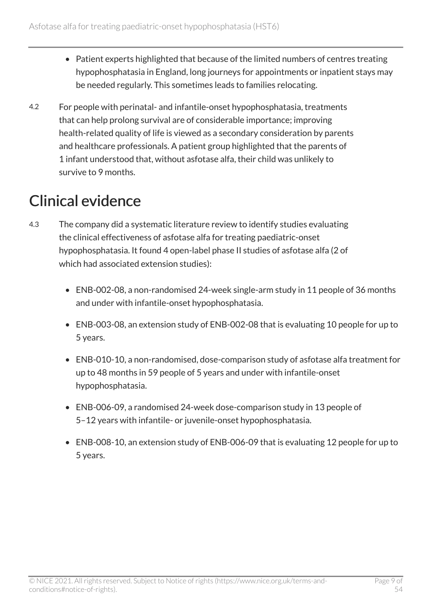- Patient experts highlighted that because of the limited numbers of centres treating hypophosphatasia in England, long journeys for appointments or inpatient stays may be needed regularly. This sometimes leads to families relocating.
- 4.2 For people with perinatal- and infantile-onset hypophosphatasia, treatments that can help prolong survival are of considerable importance; improving health-related quality of life is viewed as a secondary consideration by parents and healthcare professionals. A patient group highlighted that the parents of 1 infant understood that, without asfotase alfa, their child was unlikely to survive to 9 months.

## <span id="page-8-0"></span>Clinical evidence

- 4.3 The company did a systematic literature review to identify studies evaluating the clinical effectiveness of asfotase alfa for treating paediatric-onset hypophosphatasia. It found 4 open-label phase II studies of asfotase alfa (2 of which had associated extension studies):
	- ENB-002-08, a non-randomised 24-week single-arm study in 11 people of 36 months and under with infantile-onset hypophosphatasia.
	- ENB-003-08, an extension study of ENB-002-08 that is evaluating 10 people for up to 5 years.
	- ENB-010-10, a non-randomised, dose-comparison study of asfotase alfa treatment for up to 48 months in 59 people of 5 years and under with infantile-onset hypophosphatasia.
	- ENB-006-09, a randomised 24-week dose-comparison study in 13 people of 5–12 years with infantile- or juvenile-onset hypophosphatasia.
	- ENB-008-10, an extension study of ENB-006-09 that is evaluating 12 people for up to 5 years.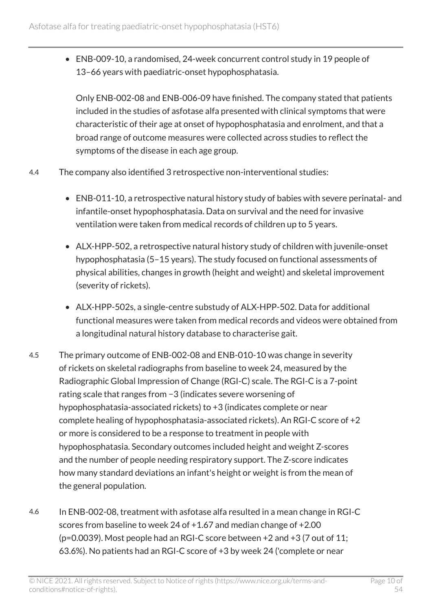• ENB-009-10, a randomised, 24-week concurrent control study in 19 people of 13–66 years with paediatric-onset hypophosphatasia.

Only ENB-002-08 and ENB-006-09 have finished. The company stated that patients included in the studies of asfotase alfa presented with clinical symptoms that were characteristic of their age at onset of hypophosphatasia and enrolment, and that a broad range of outcome measures were collected across studies to reflect the symptoms of the disease in each age group.

- 4.4 The company also identified 3 retrospective non-interventional studies:
	- ENB-011-10, a retrospective natural history study of babies with severe perinatal- and infantile-onset hypophosphatasia. Data on survival and the need for invasive ventilation were taken from medical records of children up to 5 years.
	- ALX-HPP-502, a retrospective natural history study of children with juvenile-onset hypophosphatasia (5–15 years). The study focused on functional assessments of physical abilities, changes in growth (height and weight) and skeletal improvement (severity of rickets).
	- ALX-HPP-502s, a single-centre substudy of ALX-HPP-502. Data for additional functional measures were taken from medical records and videos were obtained from a longitudinal natural history database to characterise gait.
- 4.5 The primary outcome of ENB-002-08 and ENB-010-10 was change in severity of rickets on skeletal radiographs from baseline to week 24, measured by the Radiographic Global Impression of Change (RGI-C) scale. The RGI-C is a 7-point rating scale that ranges from −3 (indicates severe worsening of hypophosphatasia-associated rickets) to +3 (indicates complete or near complete healing of hypophosphatasia-associated rickets). An RGI-C score of +2 or more is considered to be a response to treatment in people with hypophosphatasia. Secondary outcomes included height and weight Z-scores and the number of people needing respiratory support. The Z-score indicates how many standard deviations an infant's height or weight is from the mean of the general population.
- 4.6 In ENB-002-08, treatment with asfotase alfa resulted in a mean change in RGI-C scores from baseline to week 24 of +1.67 and median change of +2.00 (p=0.0039). Most people had an RGI-C score between +2 and +3 (7 out of 11; 63.6%). No patients had an RGI-C score of +3 by week 24 ('complete or near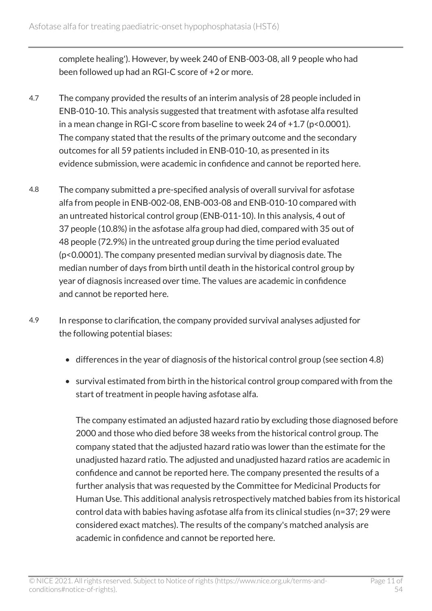complete healing'). However, by week 240 of ENB-003-08, all 9 people who had been followed up had an RGI-C score of +2 or more.

- 4.7 The company provided the results of an interim analysis of 28 people included in ENB-010-10. This analysis suggested that treatment with asfotase alfa resulted in a mean change in RGI-C score from baseline to week 24 of +1.7 (p<0.0001). The company stated that the results of the primary outcome and the secondary outcomes for all 59 patients included in ENB-010-10, as presented in its evidence submission, were academic in confidence and cannot be reported here.
- 4.8 The company submitted a pre-specified analysis of overall survival for asfotase alfa from people in ENB-002-08, ENB-003-08 and ENB-010-10 compared with an untreated historical control group (ENB-011-10). In this analysis, 4 out of 37 people (10.8%) in the asfotase alfa group had died, compared with 35 out of 48 people (72.9%) in the untreated group during the time period evaluated (p<0.0001). The company presented median survival by diagnosis date. The median number of days from birth until death in the historical control group by year of diagnosis increased over time. The values are academic in confidence and cannot be reported here.
- 4.9 In response to clarification, the company provided survival analyses adjusted for the following potential biases:
	- differences in the year of diagnosis of the historical control group (see section 4.8)
	- survival estimated from birth in the historical control group compared with from the start of treatment in people having asfotase alfa.

The company estimated an adjusted hazard ratio by excluding those diagnosed before 2000 and those who died before 38 weeks from the historical control group. The company stated that the adjusted hazard ratio was lower than the estimate for the unadjusted hazard ratio. The adjusted and unadjusted hazard ratios are academic in confidence and cannot be reported here. The company presented the results of a further analysis that was requested by the Committee for Medicinal Products for Human Use. This additional analysis retrospectively matched babies from its historical control data with babies having asfotase alfa from its clinical studies (n=37; 29 were considered exact matches). The results of the company's matched analysis are academic in confidence and cannot be reported here.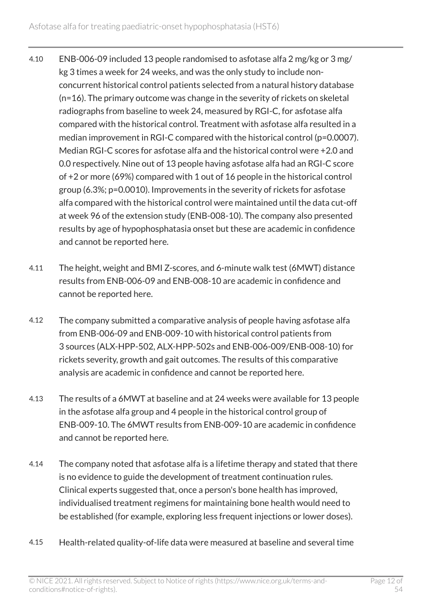- 4.10 ENB-006-09 included 13 people randomised to asfotase alfa 2 mg/kg or 3 mg/ kg 3 times a week for 24 weeks, and was the only study to include nonconcurrent historical control patients selected from a natural history database (n=16). The primary outcome was change in the severity of rickets on skeletal radiographs from baseline to week 24, measured by RGI-C, for asfotase alfa compared with the historical control. Treatment with asfotase alfa resulted in a median improvement in RGI-C compared with the historical control (p=0.0007). Median RGI-C scores for asfotase alfa and the historical control were +2.0 and 0.0 respectively. Nine out of 13 people having asfotase alfa had an RGI-C score of +2 or more (69%) compared with 1 out of 16 people in the historical control group (6.3%; p=0.0010). Improvements in the severity of rickets for asfotase alfa compared with the historical control were maintained until the data cut-off at week 96 of the extension study (ENB-008-10). The company also presented results by age of hypophosphatasia onset but these are academic in confidence and cannot be reported here.
- 4.11 The height, weight and BMI Z-scores, and 6-minute walk test (6MWT) distance results from ENB-006-09 and ENB-008-10 are academic in confidence and cannot be reported here.
- 4.12 The company submitted a comparative analysis of people having asfotase alfa from ENB-006-09 and ENB-009-10 with historical control patients from 3 sources (ALX-HPP-502, ALX-HPP-502s and ENB-006-009/ENB-008-10) for rickets severity, growth and gait outcomes. The results of this comparative analysis are academic in confidence and cannot be reported here.
- 4.13 The results of a 6MWT at baseline and at 24 weeks were available for 13 people in the asfotase alfa group and 4 people in the historical control group of ENB-009-10. The 6MWT results from ENB-009-10 are academic in confidence and cannot be reported here.
- 4.14 The company noted that asfotase alfa is a lifetime therapy and stated that there is no evidence to guide the development of treatment continuation rules. Clinical experts suggested that, once a person's bone health has improved, individualised treatment regimens for maintaining bone health would need to be established (for example, exploring less frequent injections or lower doses).
- 4.15 Health-related quality-of-life data were measured at baseline and several time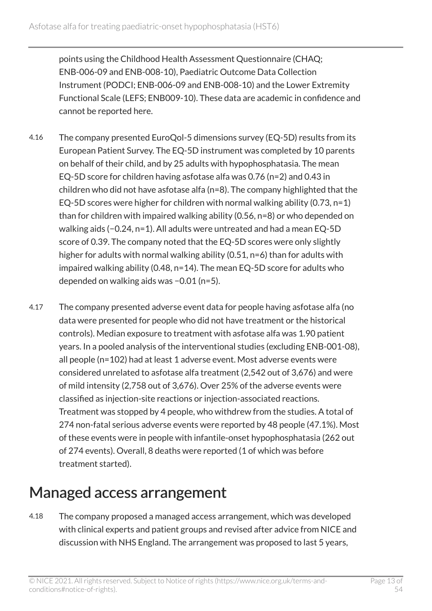points using the Childhood Health Assessment Questionnaire (CHAQ; ENB-006-09 and ENB-008-10), Paediatric Outcome Data Collection Instrument (PODCI; ENB-006-09 and ENB-008-10) and the Lower Extremity Functional Scale (LEFS; ENB009-10). These data are academic in confidence and cannot be reported here.

- 4.16 The company presented EuroQol-5 dimensions survey (EQ-5D) results from its European Patient Survey. The EQ-5D instrument was completed by 10 parents on behalf of their child, and by 25 adults with hypophosphatasia. The mean EQ-5D score for children having asfotase alfa was 0.76 (n=2) and 0.43 in children who did not have asfotase alfa (n=8). The company highlighted that the EQ-5D scores were higher for children with normal walking ability  $(0.73, n=1)$ than for children with impaired walking ability (0.56, n=8) or who depended on walking aids (−0.24, n=1). All adults were untreated and had a mean EQ-5D score of 0.39. The company noted that the EQ-5D scores were only slightly higher for adults with normal walking ability (0.51, n=6) than for adults with impaired walking ability (0.48, n=14). The mean EQ-5D score for adults who depended on walking aids was −0.01 (n=5).
- 4.17 The company presented adverse event data for people having asfotase alfa (no data were presented for people who did not have treatment or the historical controls). Median exposure to treatment with asfotase alfa was 1.90 patient years. In a pooled analysis of the interventional studies (excluding ENB-001-08), all people (n=102) had at least 1 adverse event. Most adverse events were considered unrelated to asfotase alfa treatment (2,542 out of 3,676) and were of mild intensity (2,758 out of 3,676). Over 25% of the adverse events were classified as injection-site reactions or injection-associated reactions. Treatment was stopped by 4 people, who withdrew from the studies. A total of 274 non-fatal serious adverse events were reported by 48 people (47.1%). Most of these events were in people with infantile-onset hypophosphatasia (262 out of 274 events). Overall, 8 deaths were reported (1 of which was before treatment started).

## <span id="page-12-0"></span>Managed access arrangement

4.18 The company proposed a managed access arrangement, which was developed with clinical experts and patient groups and revised after advice from NICE and discussion with NHS England. The arrangement was proposed to last 5 years,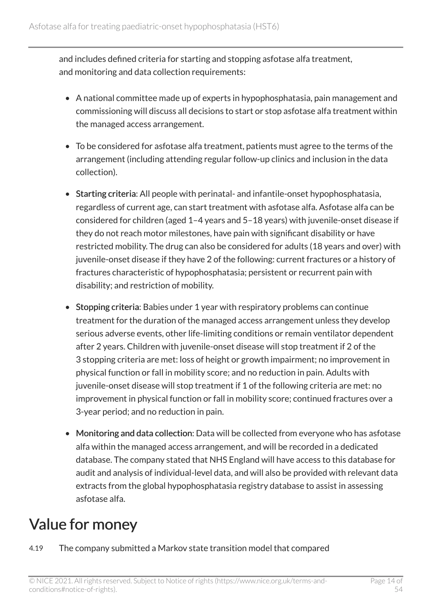and includes defined criteria for starting and stopping asfotase alfa treatment, and monitoring and data collection requirements:

- A national committee made up of experts in hypophosphatasia, pain management and commissioning will discuss all decisions to start or stop asfotase alfa treatment within the managed access arrangement.
- To be considered for asfotase alfa treatment, patients must agree to the terms of the arrangement (including attending regular follow-up clinics and inclusion in the data collection).
- Starting criteria: All people with perinatal- and infantile-onset hypophosphatasia, regardless of current age, can start treatment with asfotase alfa. Asfotase alfa can be considered for children (aged 1–4 years and 5–18 years) with juvenile-onset disease if they do not reach motor milestones, have pain with significant disability or have restricted mobility. The drug can also be considered for adults (18 years and over) with juvenile-onset disease if they have 2 of the following: current fractures or a history of fractures characteristic of hypophosphatasia; persistent or recurrent pain with disability; and restriction of mobility.
- Stopping criteria: Babies under 1 year with respiratory problems can continue treatment for the duration of the managed access arrangement unless they develop serious adverse events, other life-limiting conditions or remain ventilator dependent after 2 years. Children with juvenile-onset disease will stop treatment if 2 of the 3 stopping criteria are met: loss of height or growth impairment; no improvement in physical function or fall in mobility score; and no reduction in pain. Adults with juvenile-onset disease will stop treatment if 1 of the following criteria are met: no improvement in physical function or fall in mobility score; continued fractures over a 3-year period; and no reduction in pain.
- Monitoring and data collection: Data will be collected from everyone who has asfotase alfa within the managed access arrangement, and will be recorded in a dedicated database. The company stated that NHS England will have access to this database for audit and analysis of individual-level data, and will also be provided with relevant data extracts from the global hypophosphatasia registry database to assist in assessing asfotase alfa.

## <span id="page-13-0"></span>Value for money

4.19 The company submitted a Markov state transition model that compared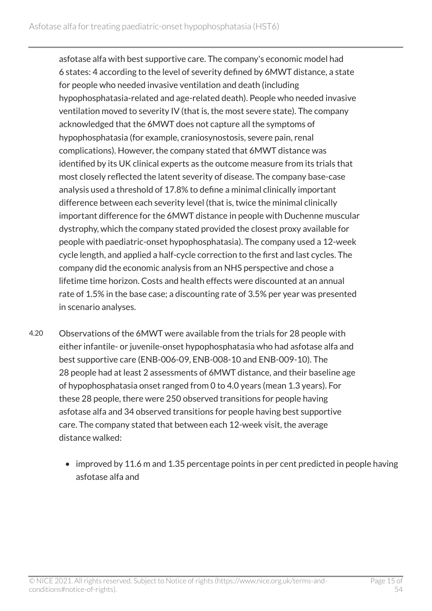asfotase alfa with best supportive care. The company's economic model had 6 states: 4 according to the level of severity defined by 6MWT distance, a state for people who needed invasive ventilation and death (including hypophosphatasia-related and age-related death). People who needed invasive ventilation moved to severity IV (that is, the most severe state). The company acknowledged that the 6MWT does not capture all the symptoms of hypophosphatasia (for example, craniosynostosis, severe pain, renal complications). However, the company stated that 6MWT distance was identified by its UK clinical experts as the outcome measure from its trials that most closely reflected the latent severity of disease. The company base-case analysis used a threshold of 17.8% to define a minimal clinically important difference between each severity level (that is, twice the minimal clinically important difference for the 6MWT distance in people with Duchenne muscular dystrophy, which the company stated provided the closest proxy available for people with paediatric-onset hypophosphatasia). The company used a 12-week cycle length, and applied a half-cycle correction to the first and last cycles. The company did the economic analysis from an NHS perspective and chose a lifetime time horizon. Costs and health effects were discounted at an annual rate of 1.5% in the base case; a discounting rate of 3.5% per year was presented in scenario analyses.

- 4.20 Observations of the 6MWT were available from the trials for 28 people with either infantile- or juvenile-onset hypophosphatasia who had asfotase alfa and best supportive care (ENB-006-09, ENB-008-10 and ENB-009-10). The 28 people had at least 2 assessments of 6MWT distance, and their baseline age of hypophosphatasia onset ranged from 0 to 4.0 years (mean 1.3 years). For these 28 people, there were 250 observed transitions for people having asfotase alfa and 34 observed transitions for people having best supportive care. The company stated that between each 12-week visit, the average distance walked:
	- improved by 11.6 m and 1.35 percentage points in per cent predicted in people having asfotase alfa and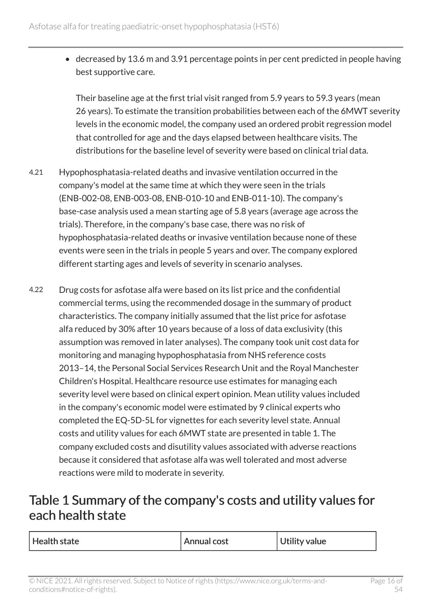• decreased by 13.6 m and 3.91 percentage points in per cent predicted in people having best supportive care.

Their baseline age at the first trial visit ranged from 5.9 years to 59.3 years (mean 26 years). To estimate the transition probabilities between each of the 6MWT severity levels in the economic model, the company used an ordered probit regression model that controlled for age and the days elapsed between healthcare visits. The distributions for the baseline level of severity were based on clinical trial data.

- 4.21 Hypophosphatasia-related deaths and invasive ventilation occurred in the company's model at the same time at which they were seen in the trials (ENB-002-08, ENB-003-08, ENB-010-10 and ENB-011-10). The company's base-case analysis used a mean starting age of 5.8 years (average age across the trials). Therefore, in the company's base case, there was no risk of hypophosphatasia-related deaths or invasive ventilation because none of these events were seen in the trials in people 5 years and over. The company explored different starting ages and levels of severity in scenario analyses.
- 4.22 Drug costs for asfotase alfa were based on its list price and the confidential commercial terms, using the recommended dosage in the summary of product characteristics. The company initially assumed that the list price for asfotase alfa reduced by 30% after 10 years because of a loss of data exclusivity (this assumption was removed in later analyses). The company took unit cost data for monitoring and managing hypophosphatasia from NHS reference costs 2013–14, the Personal Social Services Research Unit and the Royal Manchester Children's Hospital. Healthcare resource use estimates for managing each severity level were based on clinical expert opinion. Mean utility values included in the company's economic model were estimated by 9 clinical experts who completed the EQ-5D-5L for vignettes for each severity level state. Annual costs and utility values for each 6MWT state are presented in table 1. The company excluded costs and disutility values associated with adverse reactions because it considered that asfotase alfa was well tolerated and most adverse reactions were mild to moderate in severity.

#### <span id="page-15-0"></span>Table 1 Summary of the company's costs and utility values for each health state

| <b>Utility value</b><br>Health state<br>Annual cost |  |  |  |
|-----------------------------------------------------|--|--|--|
|-----------------------------------------------------|--|--|--|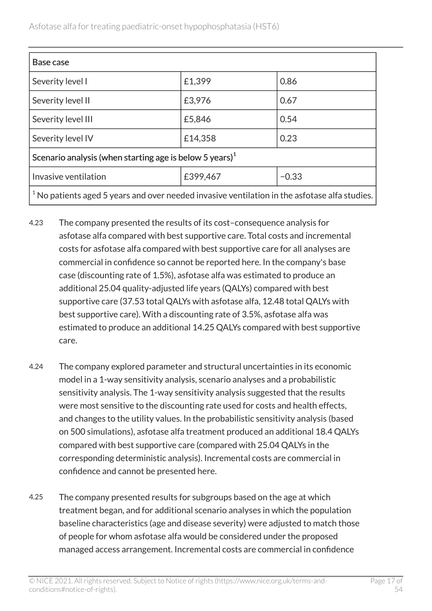| Base case                                                                                       |          |         |  |  |
|-------------------------------------------------------------------------------------------------|----------|---------|--|--|
| Severity level I                                                                                | £1,399   | 0.86    |  |  |
| Severity level II                                                                               | £3,976   | 0.67    |  |  |
| Severity level III                                                                              | £5,846   | 0.54    |  |  |
| Severity level IV                                                                               | £14,358  | 0.23    |  |  |
| Scenario analysis (when starting age is below 5 years) $1$                                      |          |         |  |  |
| Invasive ventilation                                                                            | £399,467 | $-0.33$ |  |  |
| $1$ No patients aged 5 years and over needed invasive ventilation in the asfotase alfa studies. |          |         |  |  |

- 4.23 The company presented the results of its cost–consequence analysis for asfotase alfa compared with best supportive care. Total costs and incremental costs for asfotase alfa compared with best supportive care for all analyses are commercial in confidence so cannot be reported here. In the company's base case (discounting rate of 1.5%), asfotase alfa was estimated to produce an additional 25.04 quality-adjusted life years (QALYs) compared with best supportive care (37.53 total QALYs with asfotase alfa, 12.48 total QALYs with best supportive care). With a discounting rate of 3.5%, asfotase alfa was estimated to produce an additional 14.25 QALYs compared with best supportive care.
- 4.24 The company explored parameter and structural uncertainties in its economic model in a 1-way sensitivity analysis, scenario analyses and a probabilistic sensitivity analysis. The 1-way sensitivity analysis suggested that the results were most sensitive to the discounting rate used for costs and health effects, and changes to the utility values. In the probabilistic sensitivity analysis (based on 500 simulations), asfotase alfa treatment produced an additional 18.4 QALYs compared with best supportive care (compared with 25.04 QALYs in the corresponding deterministic analysis). Incremental costs are commercial in confidence and cannot be presented here.
- 4.25 The company presented results for subgroups based on the age at which treatment began, and for additional scenario analyses in which the population baseline characteristics (age and disease severity) were adjusted to match those of people for whom asfotase alfa would be considered under the proposed managed access arrangement. Incremental costs are commercial in confidence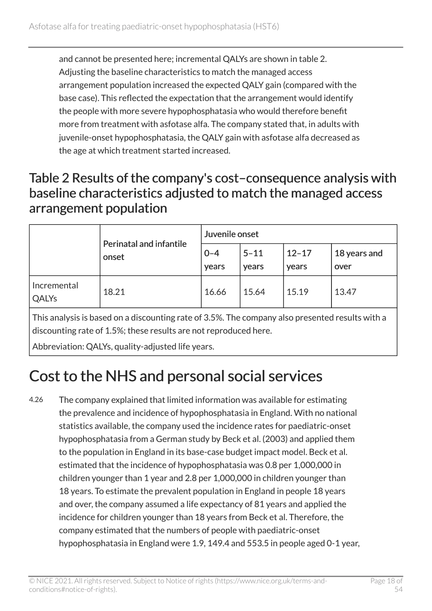and cannot be presented here; incremental QALYs are shown in table 2. Adjusting the baseline characteristics to match the managed access arrangement population increased the expected QALY gain (compared with the base case). This reflected the expectation that the arrangement would identify the people with more severe hypophosphatasia who would therefore benefit more from treatment with asfotase alfa. The company stated that, in adults with juvenile-onset hypophosphatasia, the QALY gain with asfotase alfa decreased as the age at which treatment started increased.

#### Table 2 Results of the company's cost–consequence analysis with baseline characteristics adjusted to match the managed access arrangement population

|                      | Perinatal and infantile<br>onset | Juvenile onset   |                   |                    |                      |
|----------------------|----------------------------------|------------------|-------------------|--------------------|----------------------|
|                      |                                  | $0 - 4$<br>years | $5 - 11$<br>years | $12 - 17$<br>years | 18 years and<br>over |
| Incremental<br>QALYs | 18.21                            | 16.66            | 15.64             | 15.19              | 13.47                |

This analysis is based on a discounting rate of 3.5%. The company also presented results with a discounting rate of 1.5%; these results are not reproduced here.

Abbreviation: QALYs, quality-adjusted life years.

## <span id="page-17-0"></span>Cost to the NHS and personal social services

4.26 The company explained that limited information was available for estimating the prevalence and incidence of hypophosphatasia in England. With no national statistics available, the company used the incidence rates for paediatric-onset hypophosphatasia from a German study by Beck et al. (2003) and applied them to the population in England in its base-case budget impact model. Beck et al. estimated that the incidence of hypophosphatasia was 0.8 per 1,000,000 in children younger than 1 year and 2.8 per 1,000,000 in children younger than 18 years. To estimate the prevalent population in England in people 18 years and over, the company assumed a life expectancy of 81 years and applied the incidence for children younger than 18 years from Beck et al. Therefore, the company estimated that the numbers of people with paediatric-onset hypophosphatasia in England were 1.9, 149.4 and 553.5 in people aged 0-1 year,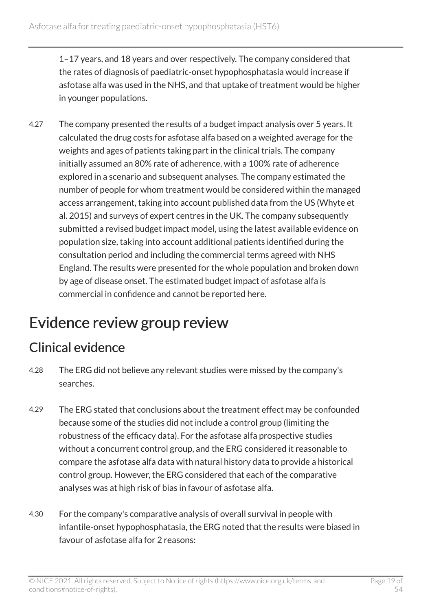1–17 years, and 18 years and over respectively. The company considered that the rates of diagnosis of paediatric-onset hypophosphatasia would increase if asfotase alfa was used in the NHS, and that uptake of treatment would be higher in younger populations.

4.27 The company presented the results of a budget impact analysis over 5 years. It calculated the drug costs for asfotase alfa based on a weighted average for the weights and ages of patients taking part in the clinical trials. The company initially assumed an 80% rate of adherence, with a 100% rate of adherence explored in a scenario and subsequent analyses. The company estimated the number of people for whom treatment would be considered within the managed access arrangement, taking into account published data from the US (Whyte et al. 2015) and surveys of expert centres in the UK. The company subsequently submitted a revised budget impact model, using the latest available evidence on population size, taking into account additional patients identified during the consultation period and including the commercial terms agreed with NHS England. The results were presented for the whole population and broken down by age of disease onset. The estimated budget impact of asfotase alfa is commercial in confidence and cannot be reported here.

### <span id="page-18-0"></span>Evidence review group review

#### Clinical evidence

- 4.28 The ERG did not believe any relevant studies were missed by the company's searches.
- 4.29 The ERG stated that conclusions about the treatment effect may be confounded because some of the studies did not include a control group (limiting the robustness of the efficacy data). For the asfotase alfa prospective studies without a concurrent control group, and the ERG considered it reasonable to compare the asfotase alfa data with natural history data to provide a historical control group. However, the ERG considered that each of the comparative analyses was at high risk of bias in favour of asfotase alfa.
- 4.30 For the company's comparative analysis of overall survival in people with infantile-onset hypophosphatasia, the ERG noted that the results were biased in favour of asfotase alfa for 2 reasons: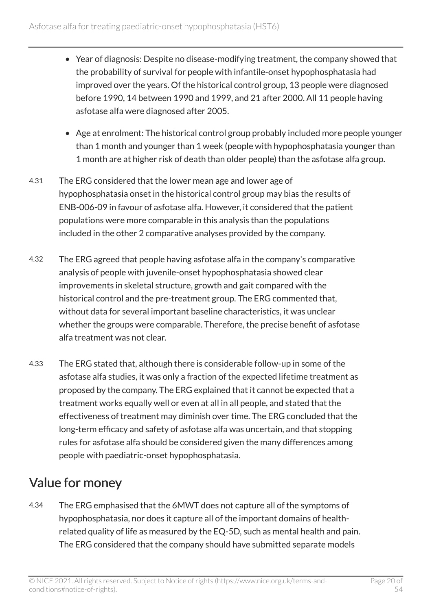- Year of diagnosis: Despite no disease-modifying treatment, the company showed that the probability of survival for people with infantile-onset hypophosphatasia had improved over the years. Of the historical control group, 13 people were diagnosed before 1990, 14 between 1990 and 1999, and 21 after 2000. All 11 people having asfotase alfa were diagnosed after 2005.
- Age at enrolment: The historical control group probably included more people younger than 1 month and younger than 1 week (people with hypophosphatasia younger than 1 month are at higher risk of death than older people) than the asfotase alfa group.
- 4.31 The ERG considered that the lower mean age and lower age of hypophosphatasia onset in the historical control group may bias the results of ENB-006-09 in favour of asfotase alfa. However, it considered that the patient populations were more comparable in this analysis than the populations included in the other 2 comparative analyses provided by the company.
- 4.32 The ERG agreed that people having asfotase alfa in the company's comparative analysis of people with juvenile-onset hypophosphatasia showed clear improvements in skeletal structure, growth and gait compared with the historical control and the pre-treatment group. The ERG commented that, without data for several important baseline characteristics, it was unclear whether the groups were comparable. Therefore, the precise benefit of asfotase alfa treatment was not clear.
- 4.33 The ERG stated that, although there is considerable follow-up in some of the asfotase alfa studies, it was only a fraction of the expected lifetime treatment as proposed by the company. The ERG explained that it cannot be expected that a treatment works equally well or even at all in all people, and stated that the effectiveness of treatment may diminish over time. The ERG concluded that the long-term efficacy and safety of asfotase alfa was uncertain, and that stopping rules for asfotase alfa should be considered given the many differences among people with paediatric-onset hypophosphatasia.

### <span id="page-19-0"></span>Value for money

4.34 The ERG emphasised that the 6MWT does not capture all of the symptoms of hypophosphatasia, nor does it capture all of the important domains of healthrelated quality of life as measured by the EQ-5D, such as mental health and pain. The ERG considered that the company should have submitted separate models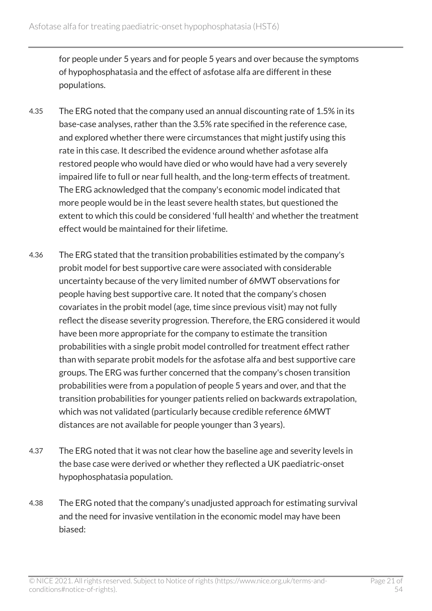for people under 5 years and for people 5 years and over because the symptoms of hypophosphatasia and the effect of asfotase alfa are different in these populations.

- 4.35 The ERG noted that the company used an annual discounting rate of 1.5% in its base-case analyses, rather than the 3.5% rate specified in the reference case, and explored whether there were circumstances that might justify using this rate in this case. It described the evidence around whether asfotase alfa restored people who would have died or who would have had a very severely impaired life to full or near full health, and the long-term effects of treatment. The ERG acknowledged that the company's economic model indicated that more people would be in the least severe health states, but questioned the extent to which this could be considered 'full health' and whether the treatment effect would be maintained for their lifetime.
- 4.36 The ERG stated that the transition probabilities estimated by the company's probit model for best supportive care were associated with considerable uncertainty because of the very limited number of 6MWT observations for people having best supportive care. It noted that the company's chosen covariates in the probit model (age, time since previous visit) may not fully reflect the disease severity progression. Therefore, the ERG considered it would have been more appropriate for the company to estimate the transition probabilities with a single probit model controlled for treatment effect rather than with separate probit models for the asfotase alfa and best supportive care groups. The ERG was further concerned that the company's chosen transition probabilities were from a population of people 5 years and over, and that the transition probabilities for younger patients relied on backwards extrapolation, which was not validated (particularly because credible reference 6MWT distances are not available for people younger than 3 years).
- 4.37 The ERG noted that it was not clear how the baseline age and severity levels in the base case were derived or whether they reflected a UK paediatric-onset hypophosphatasia population.
- 4.38 The ERG noted that the company's unadjusted approach for estimating survival and the need for invasive ventilation in the economic model may have been biased: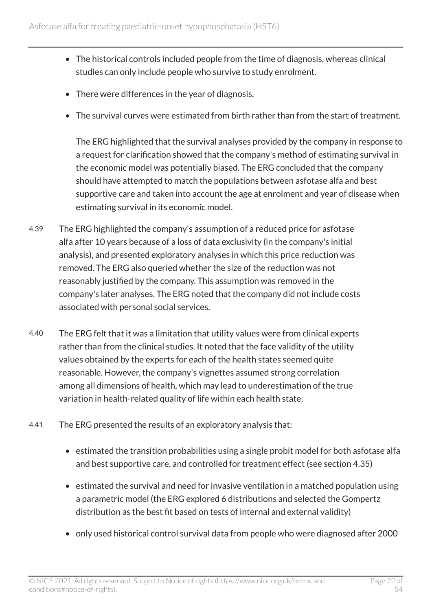- The historical controls included people from the time of diagnosis, whereas clinical studies can only include people who survive to study enrolment.
- There were differences in the year of diagnosis.
- The survival curves were estimated from birth rather than from the start of treatment.

The ERG highlighted that the survival analyses provided by the company in response to a request for clarification showed that the company's method of estimating survival in the economic model was potentially biased. The ERG concluded that the company should have attempted to match the populations between asfotase alfa and best supportive care and taken into account the age at enrolment and year of disease when estimating survival in its economic model.

- 4.39 The ERG highlighted the company's assumption of a reduced price for asfotase alfa after 10 years because of a loss of data exclusivity (in the company's initial analysis), and presented exploratory analyses in which this price reduction was removed. The ERG also queried whether the size of the reduction was not reasonably justified by the company. This assumption was removed in the company's later analyses. The ERG noted that the company did not include costs associated with personal social services.
- 4.40 The ERG felt that it was a limitation that utility values were from clinical experts rather than from the clinical studies. It noted that the face validity of the utility values obtained by the experts for each of the health states seemed quite reasonable. However, the company's vignettes assumed strong correlation among all dimensions of health, which may lead to underestimation of the true variation in health-related quality of life within each health state.
- 4.41 The ERG presented the results of an exploratory analysis that:
	- estimated the transition probabilities using a single probit model for both asfotase alfa and best supportive care, and controlled for treatment effect (see section 4.35)
	- estimated the survival and need for invasive ventilation in a matched population using a parametric model (the ERG explored 6 distributions and selected the Gompertz distribution as the best fit based on tests of internal and external validity)
	- only used historical control survival data from people who were diagnosed after 2000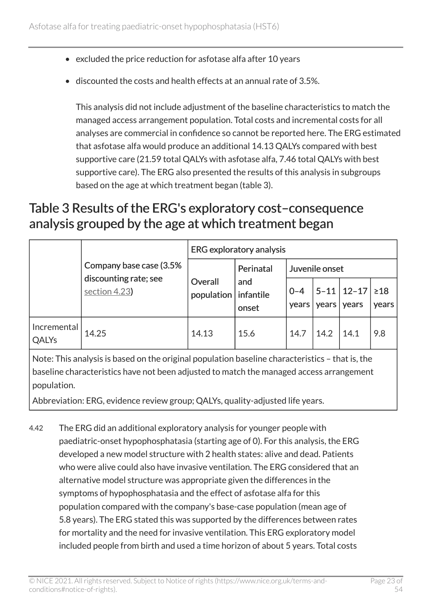- excluded the price reduction for asfotase alfa after 10 years
- discounted the costs and health effects at an annual rate of 3.5%.

This analysis did not include adjustment of the baseline characteristics to match the managed access arrangement population. Total costs and incremental costs for all analyses are commercial in confidence so cannot be reported here. The ERG estimated that asfotase alfa would produce an additional 14.13 QALYs compared with best supportive care (21.59 total QALYs with asfotase alfa, 7.46 total QALYs with best supportive care). The ERG also presented the results of this analysis in subgroups based on the age at which treatment began (table 3).

#### Table 3 Results of the ERG's exploratory cost–consequence analysis grouped by the age at which treatment began

|                      |                                                                                                                |                                 | <b>ERG</b> exploratory analysis |                  |                |                             |                    |
|----------------------|----------------------------------------------------------------------------------------------------------------|---------------------------------|---------------------------------|------------------|----------------|-----------------------------|--------------------|
|                      | Company base case (3.5%                                                                                        |                                 | Perinatal                       |                  | Juvenile onset |                             |                    |
|                      | discounting rate; see<br>section 4.23)                                                                         | Overall<br>population infantile | and<br>onset                    | $0 - 4$<br>years | years          | $5 - 11$   12-17  <br>years | $\geq 18$<br>years |
| Incremental<br>QALYs | 14.25                                                                                                          | 14.13                           | 15.6                            | 14.7             | 14.2           | 14.1                        | 9.8                |
|                      | Alberta This condition is a conditional constitution of the state of the change of the state of alberta albert |                                 |                                 |                  |                |                             |                    |

Note: This analysis is based on the original population baseline characteristics – that is, the baseline characteristics have not been adjusted to match the managed access arrangement population.

Abbreviation: ERG, evidence review group; QALYs, quality-adjusted life years.

4.42 The ERG did an additional exploratory analysis for younger people with paediatric-onset hypophosphatasia (starting age of 0). For this analysis, the ERG developed a new model structure with 2 health states: alive and dead. Patients who were alive could also have invasive ventilation. The ERG considered that an alternative model structure was appropriate given the differences in the symptoms of hypophosphatasia and the effect of asfotase alfa for this population compared with the company's base-case population (mean age of 5.8 years). The ERG stated this was supported by the differences between rates for mortality and the need for invasive ventilation. This ERG exploratory model included people from birth and used a time horizon of about 5 years. Total costs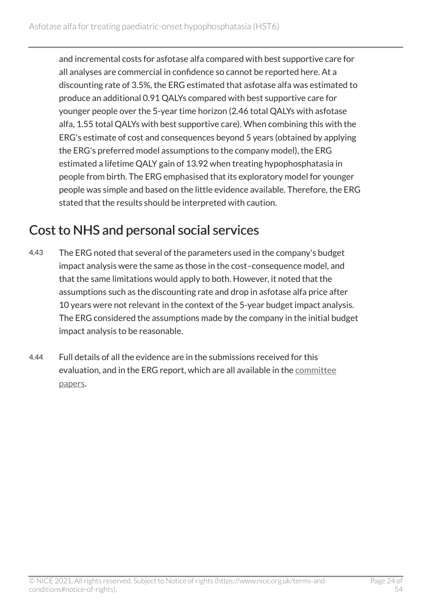and incremental costs for asfotase alfa compared with best supportive care for all analyses are commercial in confidence so cannot be reported here. At a discounting rate of 3.5%, the ERG estimated that asfotase alfa was estimated to produce an additional 0.91 QALYs compared with best supportive care for younger people over the 5-year time horizon (2.46 total QALYs with asfotase alfa, 1.55 total QALYs with best supportive care). When combining this with the ERG's estimate of cost and consequences beyond 5 years (obtained by applying the ERG's preferred model assumptions to the company model), the ERG estimated a lifetime QALY gain of 13.92 when treating hypophosphatasia in people from birth. The ERG emphasised that its exploratory model for younger people was simple and based on the little evidence available. Therefore, the ERG stated that the results should be interpreted with caution.

### Cost to NHS and personal social services

- 4.43 The ERG noted that several of the parameters used in the company's budget impact analysis were the same as those in the cost–consequence model, and that the same limitations would apply to both. However, it noted that the assumptions such as the discounting rate and drop in asfotase alfa price after 10 years were not relevant in the context of the 5-year budget impact analysis. The ERG considered the assumptions made by the company in the initial budget impact analysis to be reasonable.
- 4.44 Full details of all the evidence are in the submissions received for this evaluation, and in the ERG report, which are all available in the [committee](http://www.nice.org.uk/guidance/HST6/documents)  [papers.](http://www.nice.org.uk/guidance/HST6/documents)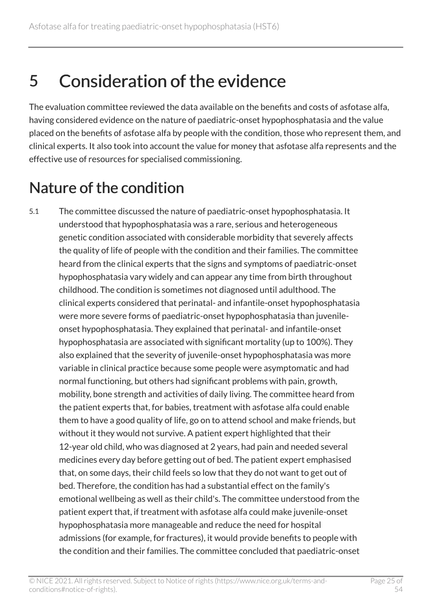## <span id="page-24-0"></span>5 Consideration of the evidence

The evaluation committee reviewed the data available on the benefits and costs of asfotase alfa, having considered evidence on the nature of paediatric-onset hypophosphatasia and the value placed on the benefits of asfotase alfa by people with the condition, those who represent them, and clinical experts. It also took into account the value for money that asfotase alfa represents and the effective use of resources for specialised commissioning.

## <span id="page-24-1"></span>Nature of the condition

5.1 The committee discussed the nature of paediatric-onset hypophosphatasia. It understood that hypophosphatasia was a rare, serious and heterogeneous genetic condition associated with considerable morbidity that severely affects the quality of life of people with the condition and their families. The committee heard from the clinical experts that the signs and symptoms of paediatric-onset hypophosphatasia vary widely and can appear any time from birth throughout childhood. The condition is sometimes not diagnosed until adulthood. The clinical experts considered that perinatal- and infantile-onset hypophosphatasia were more severe forms of paediatric-onset hypophosphatasia than juvenileonset hypophosphatasia. They explained that perinatal- and infantile-onset hypophosphatasia are associated with significant mortality (up to 100%). They also explained that the severity of juvenile-onset hypophosphatasia was more variable in clinical practice because some people were asymptomatic and had normal functioning, but others had significant problems with pain, growth, mobility, bone strength and activities of daily living. The committee heard from the patient experts that, for babies, treatment with asfotase alfa could enable them to have a good quality of life, go on to attend school and make friends, but without it they would not survive. A patient expert highlighted that their 12-year old child, who was diagnosed at 2 years, had pain and needed several medicines every day before getting out of bed. The patient expert emphasised that, on some days, their child feels so low that they do not want to get out of bed. Therefore, the condition has had a substantial effect on the family's emotional wellbeing as well as their child's. The committee understood from the patient expert that, if treatment with asfotase alfa could make juvenile-onset hypophosphatasia more manageable and reduce the need for hospital admissions (for example, for fractures), it would provide benefits to people with the condition and their families. The committee concluded that paediatric-onset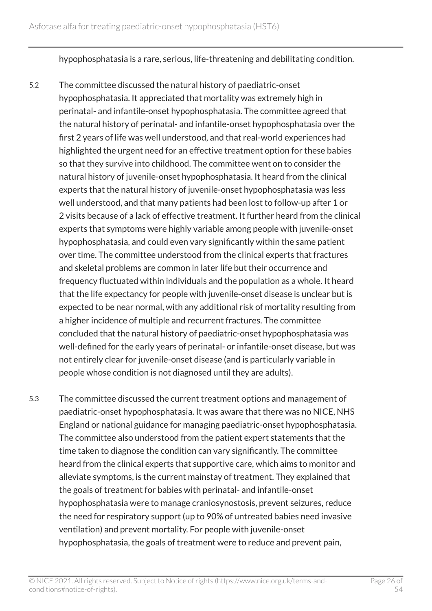hypophosphatasia is a rare, serious, life-threatening and debilitating condition.

- 5.2 The committee discussed the natural history of paediatric-onset hypophosphatasia. It appreciated that mortality was extremely high in perinatal- and infantile-onset hypophosphatasia. The committee agreed that the natural history of perinatal- and infantile-onset hypophosphatasia over the first 2 years of life was well understood, and that real-world experiences had highlighted the urgent need for an effective treatment option for these babies so that they survive into childhood. The committee went on to consider the natural history of juvenile-onset hypophosphatasia. It heard from the clinical experts that the natural history of juvenile-onset hypophosphatasia was less well understood, and that many patients had been lost to follow-up after 1 or 2 visits because of a lack of effective treatment. It further heard from the clinical experts that symptoms were highly variable among people with juvenile-onset hypophosphatasia, and could even vary significantly within the same patient over time. The committee understood from the clinical experts that fractures and skeletal problems are common in later life but their occurrence and frequency fluctuated within individuals and the population as a whole. It heard that the life expectancy for people with juvenile-onset disease is unclear but is expected to be near normal, with any additional risk of mortality resulting from a higher incidence of multiple and recurrent fractures. The committee concluded that the natural history of paediatric-onset hypophosphatasia was well-defined for the early years of perinatal- or infantile-onset disease, but was not entirely clear for juvenile-onset disease (and is particularly variable in people whose condition is not diagnosed until they are adults).
- 5.3 The committee discussed the current treatment options and management of paediatric-onset hypophosphatasia. It was aware that there was no NICE, NHS England or national guidance for managing paediatric-onset hypophosphatasia. The committee also understood from the patient expert statements that the time taken to diagnose the condition can vary significantly. The committee heard from the clinical experts that supportive care, which aims to monitor and alleviate symptoms, is the current mainstay of treatment. They explained that the goals of treatment for babies with perinatal- and infantile-onset hypophosphatasia were to manage craniosynostosis, prevent seizures, reduce the need for respiratory support (up to 90% of untreated babies need invasive ventilation) and prevent mortality. For people with juvenile-onset hypophosphatasia, the goals of treatment were to reduce and prevent pain,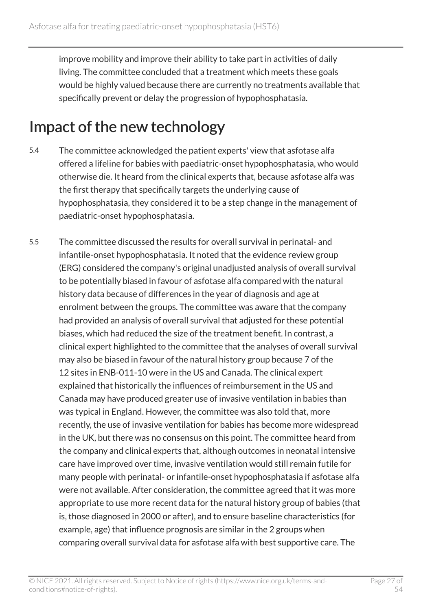improve mobility and improve their ability to take part in activities of daily living. The committee concluded that a treatment which meets these goals would be highly valued because there are currently no treatments available that specifically prevent or delay the progression of hypophosphatasia.

## <span id="page-26-0"></span>Impact of the new technology

- 5.4 The committee acknowledged the patient experts' view that asfotase alfa offered a lifeline for babies with paediatric-onset hypophosphatasia, who would otherwise die. It heard from the clinical experts that, because asfotase alfa was the first therapy that specifically targets the underlying cause of hypophosphatasia, they considered it to be a step change in the management of paediatric-onset hypophosphatasia.
- 5.5 The committee discussed the results for overall survival in perinatal- and infantile-onset hypophosphatasia. It noted that the evidence review group (ERG) considered the company's original unadjusted analysis of overall survival to be potentially biased in favour of asfotase alfa compared with the natural history data because of differences in the year of diagnosis and age at enrolment between the groups. The committee was aware that the company had provided an analysis of overall survival that adjusted for these potential biases, which had reduced the size of the treatment benefit. In contrast, a clinical expert highlighted to the committee that the analyses of overall survival may also be biased in favour of the natural history group because 7 of the 12 sites in ENB-011-10 were in the US and Canada. The clinical expert explained that historically the influences of reimbursement in the US and Canada may have produced greater use of invasive ventilation in babies than was typical in England. However, the committee was also told that, more recently, the use of invasive ventilation for babies has become more widespread in the UK, but there was no consensus on this point. The committee heard from the company and clinical experts that, although outcomes in neonatal intensive care have improved over time, invasive ventilation would still remain futile for many people with perinatal- or infantile-onset hypophosphatasia if asfotase alfa were not available. After consideration, the committee agreed that it was more appropriate to use more recent data for the natural history group of babies (that is, those diagnosed in 2000 or after), and to ensure baseline characteristics (for example, age) that influence prognosis are similar in the 2 groups when comparing overall survival data for asfotase alfa with best supportive care. The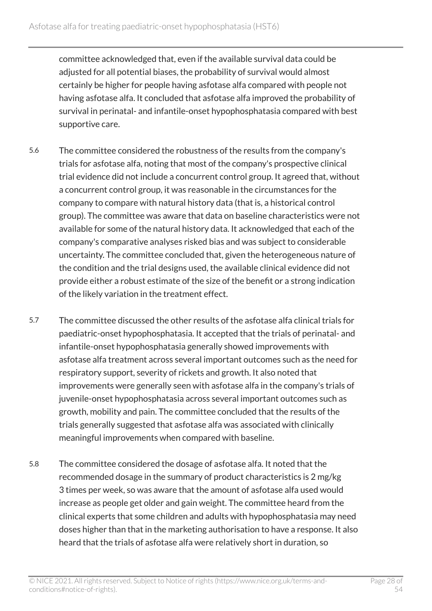committee acknowledged that, even if the available survival data could be adjusted for all potential biases, the probability of survival would almost certainly be higher for people having asfotase alfa compared with people not having asfotase alfa. It concluded that asfotase alfa improved the probability of survival in perinatal- and infantile-onset hypophosphatasia compared with best supportive care.

- 5.6 The committee considered the robustness of the results from the company's trials for asfotase alfa, noting that most of the company's prospective clinical trial evidence did not include a concurrent control group. It agreed that, without a concurrent control group, it was reasonable in the circumstances for the company to compare with natural history data (that is, a historical control group). The committee was aware that data on baseline characteristics were not available for some of the natural history data. It acknowledged that each of the company's comparative analyses risked bias and was subject to considerable uncertainty. The committee concluded that, given the heterogeneous nature of the condition and the trial designs used, the available clinical evidence did not provide either a robust estimate of the size of the benefit or a strong indication of the likely variation in the treatment effect.
- 5.7 The committee discussed the other results of the asfotase alfa clinical trials for paediatric-onset hypophosphatasia. It accepted that the trials of perinatal- and infantile-onset hypophosphatasia generally showed improvements with asfotase alfa treatment across several important outcomes such as the need for respiratory support, severity of rickets and growth. It also noted that improvements were generally seen with asfotase alfa in the company's trials of juvenile-onset hypophosphatasia across several important outcomes such as growth, mobility and pain. The committee concluded that the results of the trials generally suggested that asfotase alfa was associated with clinically meaningful improvements when compared with baseline.
- 5.8 The committee considered the dosage of asfotase alfa. It noted that the recommended dosage in the summary of product characteristics is 2 mg/kg 3 times per week, so was aware that the amount of asfotase alfa used would increase as people get older and gain weight. The committee heard from the clinical experts that some children and adults with hypophosphatasia may need doses higher than that in the marketing authorisation to have a response. It also heard that the trials of asfotase alfa were relatively short in duration, so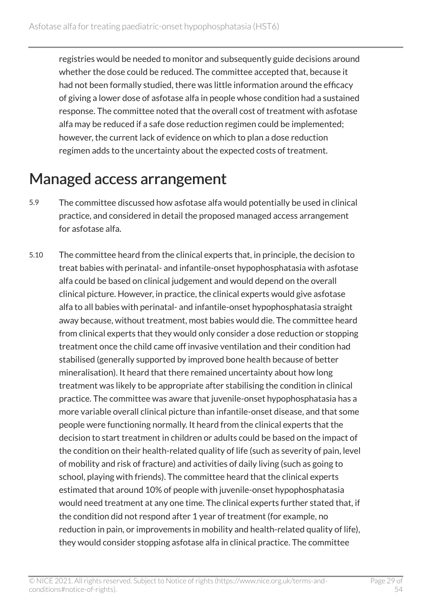registries would be needed to monitor and subsequently guide decisions around whether the dose could be reduced. The committee accepted that, because it had not been formally studied, there was little information around the efficacy of giving a lower dose of asfotase alfa in people whose condition had a sustained response. The committee noted that the overall cost of treatment with asfotase alfa may be reduced if a safe dose reduction regimen could be implemented; however, the current lack of evidence on which to plan a dose reduction regimen adds to the uncertainty about the expected costs of treatment.

### <span id="page-28-0"></span>Managed access arrangement

- 5.9 The committee discussed how asfotase alfa would potentially be used in clinical practice, and considered in detail the proposed managed access arrangement for asfotase alfa.
- 5.10 The committee heard from the clinical experts that, in principle, the decision to treat babies with perinatal- and infantile-onset hypophosphatasia with asfotase alfa could be based on clinical judgement and would depend on the overall clinical picture. However, in practice, the clinical experts would give asfotase alfa to all babies with perinatal- and infantile-onset hypophosphatasia straight away because, without treatment, most babies would die. The committee heard from clinical experts that they would only consider a dose reduction or stopping treatment once the child came off invasive ventilation and their condition had stabilised (generally supported by improved bone health because of better mineralisation). It heard that there remained uncertainty about how long treatment was likely to be appropriate after stabilising the condition in clinical practice. The committee was aware that juvenile-onset hypophosphatasia has a more variable overall clinical picture than infantile-onset disease, and that some people were functioning normally. It heard from the clinical experts that the decision to start treatment in children or adults could be based on the impact of the condition on their health-related quality of life (such as severity of pain, level of mobility and risk of fracture) and activities of daily living (such as going to school, playing with friends). The committee heard that the clinical experts estimated that around 10% of people with juvenile-onset hypophosphatasia would need treatment at any one time. The clinical experts further stated that, if the condition did not respond after 1 year of treatment (for example, no reduction in pain, or improvements in mobility and health-related quality of life), they would consider stopping asfotase alfa in clinical practice. The committee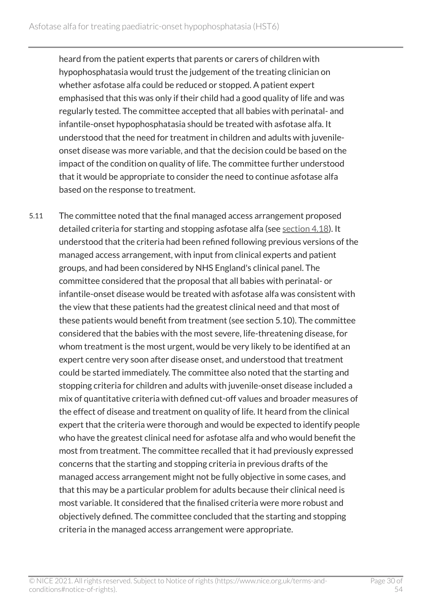heard from the patient experts that parents or carers of children with hypophosphatasia would trust the judgement of the treating clinician on whether asfotase alfa could be reduced or stopped. A patient expert emphasised that this was only if their child had a good quality of life and was regularly tested. The committee accepted that all babies with perinatal- and infantile-onset hypophosphatasia should be treated with asfotase alfa. It understood that the need for treatment in children and adults with juvenileonset disease was more variable, and that the decision could be based on the impact of the condition on quality of life. The committee further understood that it would be appropriate to consider the need to continue asfotase alfa based on the response to treatment.

5.11 The committee noted that the final managed access arrangement proposed detailed criteria for starting and stopping asfotase alfa (see [section](#page-12-0) 4.18). It understood that the criteria had been refined following previous versions of the managed access arrangement, with input from clinical experts and patient groups, and had been considered by NHS England's clinical panel. The committee considered that the proposal that all babies with perinatal- or infantile-onset disease would be treated with asfotase alfa was consistent with the view that these patients had the greatest clinical need and that most of these patients would benefit from treatment (see section 5.10). The committee considered that the babies with the most severe, life-threatening disease, for whom treatment is the most urgent, would be very likely to be identified at an expert centre very soon after disease onset, and understood that treatment could be started immediately. The committee also noted that the starting and stopping criteria for children and adults with juvenile-onset disease included a mix of quantitative criteria with defined cut-off values and broader measures of the effect of disease and treatment on quality of life. It heard from the clinical expert that the criteria were thorough and would be expected to identify people who have the greatest clinical need for asfotase alfa and who would benefit the most from treatment. The committee recalled that it had previously expressed concerns that the starting and stopping criteria in previous drafts of the managed access arrangement might not be fully objective in some cases, and that this may be a particular problem for adults because their clinical need is most variable. It considered that the finalised criteria were more robust and objectively defined. The committee concluded that the starting and stopping criteria in the managed access arrangement were appropriate.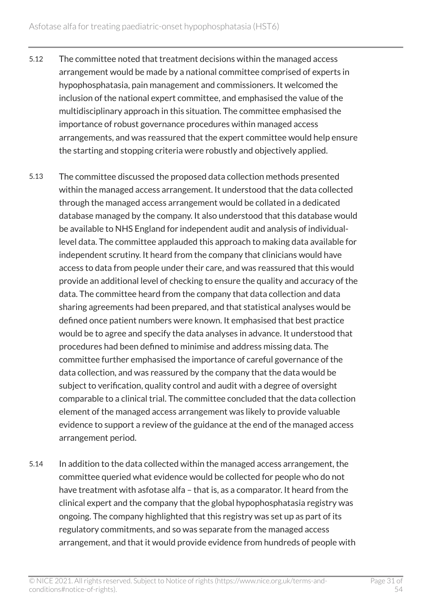- 5.12 The committee noted that treatment decisions within the managed access arrangement would be made by a national committee comprised of experts in hypophosphatasia, pain management and commissioners. It welcomed the inclusion of the national expert committee, and emphasised the value of the multidisciplinary approach in this situation. The committee emphasised the importance of robust governance procedures within managed access arrangements, and was reassured that the expert committee would help ensure the starting and stopping criteria were robustly and objectively applied.
- 5.13 The committee discussed the proposed data collection methods presented within the managed access arrangement. It understood that the data collected through the managed access arrangement would be collated in a dedicated database managed by the company. It also understood that this database would be available to NHS England for independent audit and analysis of individuallevel data. The committee applauded this approach to making data available for independent scrutiny. It heard from the company that clinicians would have access to data from people under their care, and was reassured that this would provide an additional level of checking to ensure the quality and accuracy of the data. The committee heard from the company that data collection and data sharing agreements had been prepared, and that statistical analyses would be defined once patient numbers were known. It emphasised that best practice would be to agree and specify the data analyses in advance. It understood that procedures had been defined to minimise and address missing data. The committee further emphasised the importance of careful governance of the data collection, and was reassured by the company that the data would be subject to verification, quality control and audit with a degree of oversight comparable to a clinical trial. The committee concluded that the data collection element of the managed access arrangement was likely to provide valuable evidence to support a review of the guidance at the end of the managed access arrangement period.
- 5.14 In addition to the data collected within the managed access arrangement, the committee queried what evidence would be collected for people who do not have treatment with asfotase alfa – that is, as a comparator. It heard from the clinical expert and the company that the global hypophosphatasia registry was ongoing. The company highlighted that this registry was set up as part of its regulatory commitments, and so was separate from the managed access arrangement, and that it would provide evidence from hundreds of people with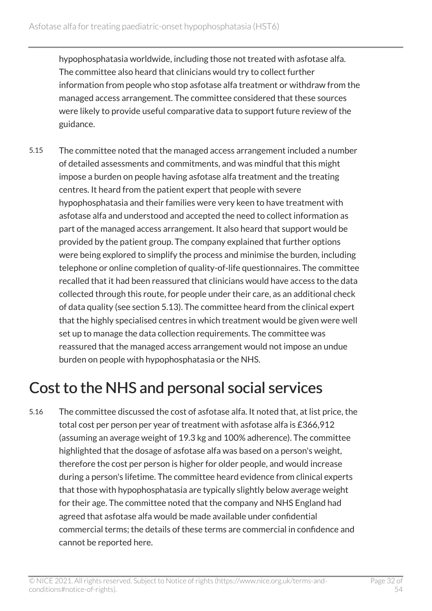hypophosphatasia worldwide, including those not treated with asfotase alfa. The committee also heard that clinicians would try to collect further information from people who stop asfotase alfa treatment or withdraw from the managed access arrangement. The committee considered that these sources were likely to provide useful comparative data to support future review of the guidance.

5.15 The committee noted that the managed access arrangement included a number of detailed assessments and commitments, and was mindful that this might impose a burden on people having asfotase alfa treatment and the treating centres. It heard from the patient expert that people with severe hypophosphatasia and their families were very keen to have treatment with asfotase alfa and understood and accepted the need to collect information as part of the managed access arrangement. It also heard that support would be provided by the patient group. The company explained that further options were being explored to simplify the process and minimise the burden, including telephone or online completion of quality-of-life questionnaires. The committee recalled that it had been reassured that clinicians would have access to the data collected through this route, for people under their care, as an additional check of data quality (see section 5.13). The committee heard from the clinical expert that the highly specialised centres in which treatment would be given were well set up to manage the data collection requirements. The committee was reassured that the managed access arrangement would not impose an undue burden on people with hypophosphatasia or the NHS.

## <span id="page-31-0"></span>Cost to the NHS and personal social services

5.16 The committee discussed the cost of asfotase alfa. It noted that, at list price, the total cost per person per year of treatment with asfotase alfa is £366,912 (assuming an average weight of 19.3 kg and 100% adherence). The committee highlighted that the dosage of asfotase alfa was based on a person's weight, therefore the cost per person is higher for older people, and would increase during a person's lifetime. The committee heard evidence from clinical experts that those with hypophosphatasia are typically slightly below average weight for their age. The committee noted that the company and NHS England had agreed that asfotase alfa would be made available under confidential commercial terms; the details of these terms are commercial in confidence and cannot be reported here.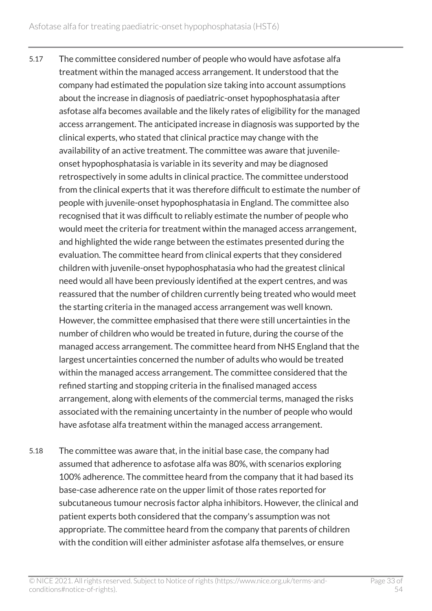- 5.17 The committee considered number of people who would have asfotase alfa treatment within the managed access arrangement. It understood that the company had estimated the population size taking into account assumptions about the increase in diagnosis of paediatric-onset hypophosphatasia after asfotase alfa becomes available and the likely rates of eligibility for the managed access arrangement. The anticipated increase in diagnosis was supported by the clinical experts, who stated that clinical practice may change with the availability of an active treatment. The committee was aware that juvenileonset hypophosphatasia is variable in its severity and may be diagnosed retrospectively in some adults in clinical practice. The committee understood from the clinical experts that it was therefore difficult to estimate the number of people with juvenile-onset hypophosphatasia in England. The committee also recognised that it was difficult to reliably estimate the number of people who would meet the criteria for treatment within the managed access arrangement, and highlighted the wide range between the estimates presented during the evaluation. The committee heard from clinical experts that they considered children with juvenile-onset hypophosphatasia who had the greatest clinical need would all have been previously identified at the expert centres, and was reassured that the number of children currently being treated who would meet the starting criteria in the managed access arrangement was well known. However, the committee emphasised that there were still uncertainties in the number of children who would be treated in future, during the course of the managed access arrangement. The committee heard from NHS England that the largest uncertainties concerned the number of adults who would be treated within the managed access arrangement. The committee considered that the refined starting and stopping criteria in the finalised managed access arrangement, along with elements of the commercial terms, managed the risks associated with the remaining uncertainty in the number of people who would have asfotase alfa treatment within the managed access arrangement.
- 5.18 The committee was aware that, in the initial base case, the company had assumed that adherence to asfotase alfa was 80%, with scenarios exploring 100% adherence. The committee heard from the company that it had based its base-case adherence rate on the upper limit of those rates reported for subcutaneous tumour necrosis factor alpha inhibitors. However, the clinical and patient experts both considered that the company's assumption was not appropriate. The committee heard from the company that parents of children with the condition will either administer asfotase alfa themselves, or ensure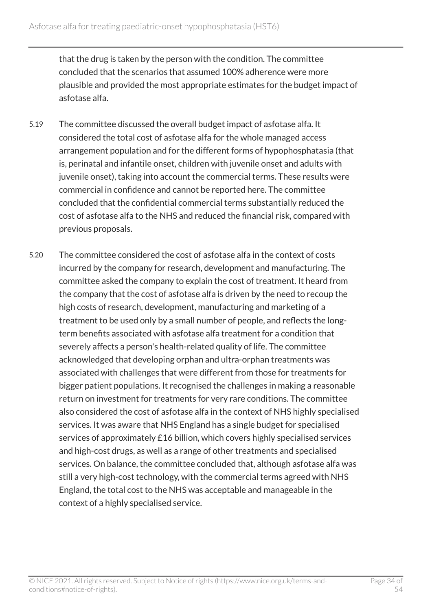that the drug is taken by the person with the condition. The committee concluded that the scenarios that assumed 100% adherence were more plausible and provided the most appropriate estimates for the budget impact of asfotase alfa.

- 5.19 The committee discussed the overall budget impact of asfotase alfa. It considered the total cost of asfotase alfa for the whole managed access arrangement population and for the different forms of hypophosphatasia (that is, perinatal and infantile onset, children with juvenile onset and adults with juvenile onset), taking into account the commercial terms. These results were commercial in confidence and cannot be reported here. The committee concluded that the confidential commercial terms substantially reduced the cost of asfotase alfa to the NHS and reduced the financial risk, compared with previous proposals.
- 5.20 The committee considered the cost of asfotase alfa in the context of costs incurred by the company for research, development and manufacturing. The committee asked the company to explain the cost of treatment. It heard from the company that the cost of asfotase alfa is driven by the need to recoup the high costs of research, development, manufacturing and marketing of a treatment to be used only by a small number of people, and reflects the longterm benefits associated with asfotase alfa treatment for a condition that severely affects a person's health-related quality of life. The committee acknowledged that developing orphan and ultra-orphan treatments was associated with challenges that were different from those for treatments for bigger patient populations. It recognised the challenges in making a reasonable return on investment for treatments for very rare conditions. The committee also considered the cost of asfotase alfa in the context of NHS highly specialised services. It was aware that NHS England has a single budget for specialised services of approximately £16 billion, which covers highly specialised services and high-cost drugs, as well as a range of other treatments and specialised services. On balance, the committee concluded that, although asfotase alfa was still a very high-cost technology, with the commercial terms agreed with NHS England, the total cost to the NHS was acceptable and manageable in the context of a highly specialised service.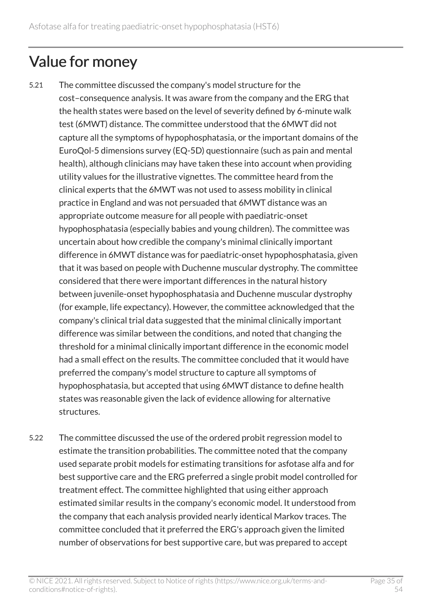## <span id="page-34-0"></span>Value for money

- 5.21 The committee discussed the company's model structure for the cost–consequence analysis. It was aware from the company and the ERG that the health states were based on the level of severity defined by 6-minute walk test (6MWT) distance. The committee understood that the 6MWT did not capture all the symptoms of hypophosphatasia, or the important domains of the EuroQol-5 dimensions survey (EQ-5D) questionnaire (such as pain and mental health), although clinicians may have taken these into account when providing utility values for the illustrative vignettes. The committee heard from the clinical experts that the 6MWT was not used to assess mobility in clinical practice in England and was not persuaded that 6MWT distance was an appropriate outcome measure for all people with paediatric-onset hypophosphatasia (especially babies and young children). The committee was uncertain about how credible the company's minimal clinically important difference in 6MWT distance was for paediatric-onset hypophosphatasia, given that it was based on people with Duchenne muscular dystrophy. The committee considered that there were important differences in the natural history between juvenile-onset hypophosphatasia and Duchenne muscular dystrophy (for example, life expectancy). However, the committee acknowledged that the company's clinical trial data suggested that the minimal clinically important difference was similar between the conditions, and noted that changing the threshold for a minimal clinically important difference in the economic model had a small effect on the results. The committee concluded that it would have preferred the company's model structure to capture all symptoms of hypophosphatasia, but accepted that using 6MWT distance to define health states was reasonable given the lack of evidence allowing for alternative structures.
- 5.22 The committee discussed the use of the ordered probit regression model to estimate the transition probabilities. The committee noted that the company used separate probit models for estimating transitions for asfotase alfa and for best supportive care and the ERG preferred a single probit model controlled for treatment effect. The committee highlighted that using either approach estimated similar results in the company's economic model. It understood from the company that each analysis provided nearly identical Markov traces. The committee concluded that it preferred the ERG's approach given the limited number of observations for best supportive care, but was prepared to accept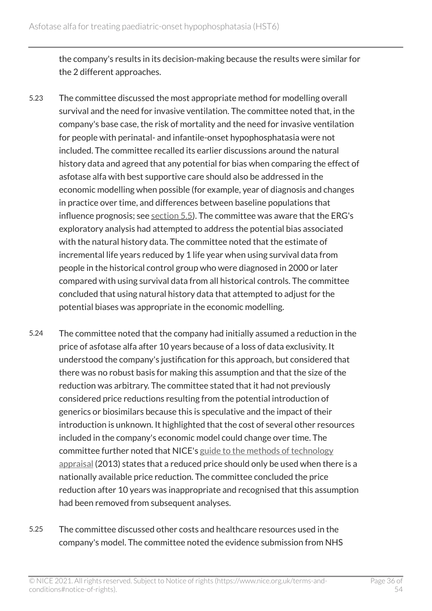the company's results in its decision-making because the results were similar for the 2 different approaches.

- 5.23 The committee discussed the most appropriate method for modelling overall survival and the need for invasive ventilation. The committee noted that, in the company's base case, the risk of mortality and the need for invasive ventilation for people with perinatal- and infantile-onset hypophosphatasia were not included. The committee recalled its earlier discussions around the natural history data and agreed that any potential for bias when comparing the effect of asfotase alfa with best supportive care should also be addressed in the economic modelling when possible (for example, year of diagnosis and changes in practice over time, and differences between baseline populations that influence prognosis; see [section](#page-26-0) 5.5). The committee was aware that the ERG's exploratory analysis had attempted to address the potential bias associated with the natural history data. The committee noted that the estimate of incremental life years reduced by 1 life year when using survival data from people in the historical control group who were diagnosed in 2000 or later compared with using survival data from all historical controls. The committee concluded that using natural history data that attempted to adjust for the potential biases was appropriate in the economic modelling.
- 5.24 The committee noted that the company had initially assumed a reduction in the price of asfotase alfa after 10 years because of a loss of data exclusivity. It understood the company's justification for this approach, but considered that there was no robust basis for making this assumption and that the size of the reduction was arbitrary. The committee stated that it had not previously considered price reductions resulting from the potential introduction of generics or biosimilars because this is speculative and the impact of their introduction is unknown. It highlighted that the cost of several other resources included in the company's economic model could change over time. The committee further noted that NICE's [guide to the methods of technology](https://www.nice.org.uk/process/pmg9/chapter/foreword)  [appraisal](https://www.nice.org.uk/process/pmg9/chapter/foreword) (2013) states that a reduced price should only be used when there is a nationally available price reduction. The committee concluded the price reduction after 10 years was inappropriate and recognised that this assumption had been removed from subsequent analyses.
- 5.25 The committee discussed other costs and healthcare resources used in the company's model. The committee noted the evidence submission from NHS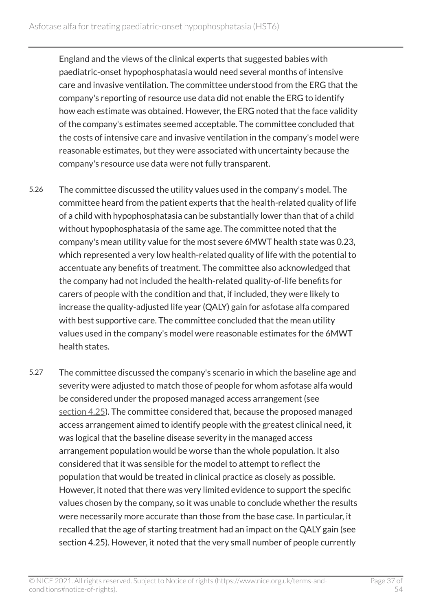England and the views of the clinical experts that suggested babies with paediatric-onset hypophosphatasia would need several months of intensive care and invasive ventilation. The committee understood from the ERG that the company's reporting of resource use data did not enable the ERG to identify how each estimate was obtained. However, the ERG noted that the face validity of the company's estimates seemed acceptable. The committee concluded that the costs of intensive care and invasive ventilation in the company's model were reasonable estimates, but they were associated with uncertainty because the company's resource use data were not fully transparent.

- 5.26 The committee discussed the utility values used in the company's model. The committee heard from the patient experts that the health-related quality of life of a child with hypophosphatasia can be substantially lower than that of a child without hypophosphatasia of the same age. The committee noted that the company's mean utility value for the most severe 6MWT health state was 0.23, which represented a very low health-related quality of life with the potential to accentuate any benefits of treatment. The committee also acknowledged that the company had not included the health-related quality-of-life benefits for carers of people with the condition and that, if included, they were likely to increase the quality-adjusted life year (QALY) gain for asfotase alfa compared with best supportive care. The committee concluded that the mean utility values used in the company's model were reasonable estimates for the 6MWT health states.
- 5.27 The committee discussed the company's scenario in which the baseline age and severity were adjusted to match those of people for whom asfotase alfa would be considered under the proposed managed access arrangement (see [section](#page-15-0) 4.25). The committee considered that, because the proposed managed access arrangement aimed to identify people with the greatest clinical need, it was logical that the baseline disease severity in the managed access arrangement population would be worse than the whole population. It also considered that it was sensible for the model to attempt to reflect the population that would be treated in clinical practice as closely as possible. However, it noted that there was very limited evidence to support the specific values chosen by the company, so it was unable to conclude whether the results were necessarily more accurate than those from the base case. In particular, it recalled that the age of starting treatment had an impact on the QALY gain (see section 4.25). However, it noted that the very small number of people currently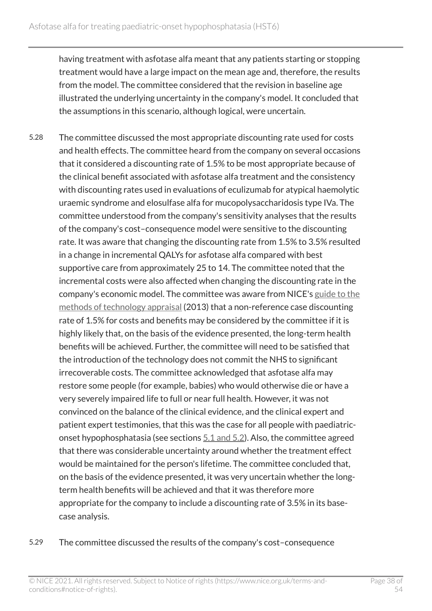having treatment with asfotase alfa meant that any patients starting or stopping treatment would have a large impact on the mean age and, therefore, the results from the model. The committee considered that the revision in baseline age illustrated the underlying uncertainty in the company's model. It concluded that the assumptions in this scenario, although logical, were uncertain.

- 5.28 The committee discussed the most appropriate discounting rate used for costs and health effects. The committee heard from the company on several occasions that it considered a discounting rate of 1.5% to be most appropriate because of the clinical benefit associated with asfotase alfa treatment and the consistency with discounting rates used in evaluations of eculizumab for atypical haemolytic uraemic syndrome and elosulfase alfa for mucopolysaccharidosis type IVa. The committee understood from the company's sensitivity analyses that the results of the company's cost–consequence model were sensitive to the discounting rate. It was aware that changing the discounting rate from 1.5% to 3.5% resulted in a change in incremental QALYs for asfotase alfa compared with best supportive care from approximately 25 to 14. The committee noted that the incremental costs were also affected when changing the discounting rate in the company's economic model. The committee was aware from NICE's [guide to the](https://www.nice.org.uk/process/pmg9/chapter/foreword)  [methods of technology appraisal](https://www.nice.org.uk/process/pmg9/chapter/foreword) (2013) that a non-reference case discounting rate of 1.5% for costs and benefits may be considered by the committee if it is highly likely that, on the basis of the evidence presented, the long-term health benefits will be achieved. Further, the committee will need to be satisfied that the introduction of the technology does not commit the NHS to significant irrecoverable costs. The committee acknowledged that asfotase alfa may restore some people (for example, babies) who would otherwise die or have a very severely impaired life to full or near full health. However, it was not convinced on the balance of the clinical evidence, and the clinical expert and patient expert testimonies, that this was the case for all people with paediatriconset hypophosphatasia (see sections  $5.1$  and  $5.2$ ). Also, the committee agreed that there was considerable uncertainty around whether the treatment effect would be maintained for the person's lifetime. The committee concluded that, on the basis of the evidence presented, it was very uncertain whether the longterm health benefits will be achieved and that it was therefore more appropriate for the company to include a discounting rate of 3.5% in its basecase analysis.
- 5.29 The committee discussed the results of the company's cost–consequence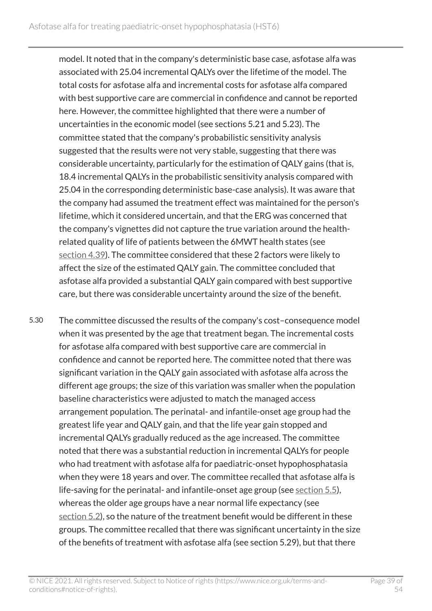model. It noted that in the company's deterministic base case, asfotase alfa was associated with 25.04 incremental QALYs over the lifetime of the model. The total costs for asfotase alfa and incremental costs for asfotase alfa compared with best supportive care are commercial in confidence and cannot be reported here. However, the committee highlighted that there were a number of uncertainties in the economic model (see sections 5.21 and 5.23). The committee stated that the company's probabilistic sensitivity analysis suggested that the results were not very stable, suggesting that there was considerable uncertainty, particularly for the estimation of QALY gains (that is, 18.4 incremental QALYs in the probabilistic sensitivity analysis compared with 25.04 in the corresponding deterministic base-case analysis). It was aware that the company had assumed the treatment effect was maintained for the person's lifetime, which it considered uncertain, and that the ERG was concerned that the company's vignettes did not capture the true variation around the healthrelated quality of life of patients between the 6MWT health states (see [section](#page-19-0) 4.39). The committee considered that these 2 factors were likely to affect the size of the estimated QALY gain. The committee concluded that asfotase alfa provided a substantial QALY gain compared with best supportive care, but there was considerable uncertainty around the size of the benefit.

5.30 The committee discussed the results of the company's cost–consequence model when it was presented by the age that treatment began. The incremental costs for asfotase alfa compared with best supportive care are commercial in confidence and cannot be reported here. The committee noted that there was significant variation in the QALY gain associated with asfotase alfa across the different age groups; the size of this variation was smaller when the population baseline characteristics were adjusted to match the managed access arrangement population. The perinatal- and infantile-onset age group had the greatest life year and QALY gain, and that the life year gain stopped and incremental QALYs gradually reduced as the age increased. The committee noted that there was a substantial reduction in incremental QALYs for people who had treatment with asfotase alfa for paediatric-onset hypophosphatasia when they were 18 years and over. The committee recalled that asfotase alfa is life-saving for the perinatal- and infantile-onset age group (see [section](#page-26-0) 5.5), whereas the older age groups have a near normal life expectancy (see [section](#page-24-1) 5.2), so the nature of the treatment benefit would be different in these groups. The committee recalled that there was significant uncertainty in the size of the benefits of treatment with asfotase alfa (see section 5.29), but that there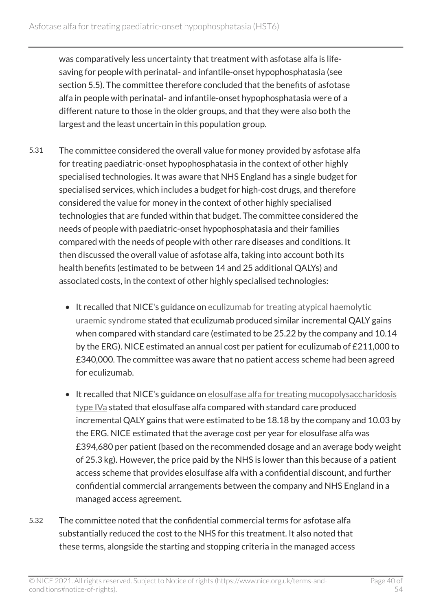was comparatively less uncertainty that treatment with asfotase alfa is lifesaving for people with perinatal- and infantile-onset hypophosphatasia (see section 5.5). The committee therefore concluded that the benefits of asfotase alfa in people with perinatal- and infantile-onset hypophosphatasia were of a different nature to those in the older groups, and that they were also both the largest and the least uncertain in this population group.

- 5.31 The committee considered the overall value for money provided by asfotase alfa for treating paediatric-onset hypophosphatasia in the context of other highly specialised technologies. It was aware that NHS England has a single budget for specialised services, which includes a budget for high-cost drugs, and therefore considered the value for money in the context of other highly specialised technologies that are funded within that budget. The committee considered the needs of people with paediatric-onset hypophosphatasia and their families compared with the needs of people with other rare diseases and conditions. It then discussed the overall value of asfotase alfa, taking into account both its health benefits (estimated to be between 14 and 25 additional QALYs) and associated costs, in the context of other highly specialised technologies:
	- It recalled that NICE's guidance on [eculizumab for treating atypical haemolytic](https://www.nice.org.uk/guidance/hst1) [uraemic syndrome](https://www.nice.org.uk/guidance/hst1) stated that eculizumab produced similar incremental QALY gains when compared with standard care (estimated to be 25.22 by the company and 10.14 by the ERG). NICE estimated an annual cost per patient for eculizumab of £211,000 to £340,000. The committee was aware that no patient access scheme had been agreed for eculizumab.
	- It recalled that NICE's guidance on elosulfase alfa for treating mucopolysaccharidosis [type](https://www.nice.org.uk/guidance/hst2) IVa stated that elosulfase alfa compared with standard care produced incremental QALY gains that were estimated to be 18.18 by the company and 10.03 by the ERG. NICE estimated that the average cost per year for elosulfase alfa was £394,680 per patient (based on the recommended dosage and an average body weight of 25.3 kg). However, the price paid by the NHS is lower than this because of a patient access scheme that provides elosulfase alfa with a confidential discount, and further confidential commercial arrangements between the company and NHS England in a managed access agreement.
- 5.32 The committee noted that the confidential commercial terms for asfotase alfa substantially reduced the cost to the NHS for this treatment. It also noted that these terms, alongside the starting and stopping criteria in the managed access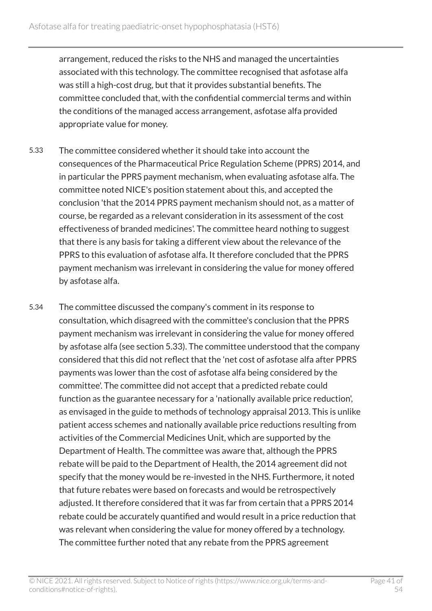arrangement, reduced the risks to the NHS and managed the uncertainties associated with this technology. The committee recognised that asfotase alfa was still a high-cost drug, but that it provides substantial benefits. The committee concluded that, with the confidential commercial terms and within the conditions of the managed access arrangement, asfotase alfa provided appropriate value for money.

- 5.33 The committee considered whether it should take into account the consequences of the Pharmaceutical Price Regulation Scheme (PPRS) 2014, and in particular the PPRS payment mechanism, when evaluating asfotase alfa. The committee noted NICE's position statement about this, and accepted the conclusion 'that the 2014 PPRS payment mechanism should not, as a matter of course, be regarded as a relevant consideration in its assessment of the cost effectiveness of branded medicines'. The committee heard nothing to suggest that there is any basis for taking a different view about the relevance of the PPRS to this evaluation of asfotase alfa. It therefore concluded that the PPRS payment mechanism was irrelevant in considering the value for money offered by asfotase alfa.
- 5.34 The committee discussed the company's comment in its response to consultation, which disagreed with the committee's conclusion that the PPRS payment mechanism was irrelevant in considering the value for money offered by asfotase alfa (see section 5.33). The committee understood that the company considered that this did not reflect that the 'net cost of asfotase alfa after PPRS payments was lower than the cost of asfotase alfa being considered by the committee'. The committee did not accept that a predicted rebate could function as the guarantee necessary for a 'nationally available price reduction', as envisaged in the guide to methods of technology appraisal 2013. This is unlike patient access schemes and nationally available price reductions resulting from activities of the Commercial Medicines Unit, which are supported by the Department of Health. The committee was aware that, although the PPRS rebate will be paid to the Department of Health, the 2014 agreement did not specify that the money would be re-invested in the NHS. Furthermore, it noted that future rebates were based on forecasts and would be retrospectively adjusted. It therefore considered that it was far from certain that a PPRS 2014 rebate could be accurately quantified and would result in a price reduction that was relevant when considering the value for money offered by a technology. The committee further noted that any rebate from the PPRS agreement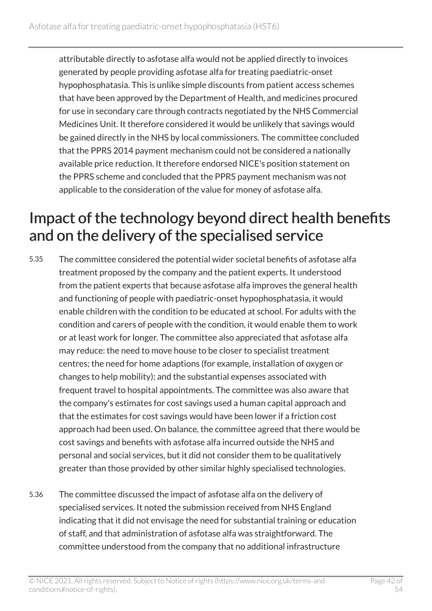attributable directly to asfotase alfa would not be applied directly to invoices generated by people providing asfotase alfa for treating paediatric-onset hypophosphatasia. This is unlike simple discounts from patient access schemes that have been approved by the Department of Health, and medicines procured for use in secondary care through contracts negotiated by the NHS Commercial Medicines Unit. It therefore considered it would be unlikely that savings would be gained directly in the NHS by local commissioners. The committee concluded that the PPRS 2014 payment mechanism could not be considered a nationally available price reduction. It therefore endorsed NICE's position statement on the PPRS scheme and concluded that the PPRS payment mechanism was not applicable to the consideration of the value for money of asfotase alfa.

### <span id="page-41-0"></span>Impact of the technology beyond direct health benefits and on the delivery of the specialised service

- 5.35 The committee considered the potential wider societal benefits of asfotase alfa treatment proposed by the company and the patient experts. It understood from the patient experts that because asfotase alfa improves the general health and functioning of people with paediatric-onset hypophosphatasia, it would enable children with the condition to be educated at school. For adults with the condition and carers of people with the condition, it would enable them to work or at least work for longer. The committee also appreciated that asfotase alfa may reduce: the need to move house to be closer to specialist treatment centres; the need for home adaptions (for example, installation of oxygen or changes to help mobility); and the substantial expenses associated with frequent travel to hospital appointments. The committee was also aware that the company's estimates for cost savings used a human capital approach and that the estimates for cost savings would have been lower if a friction cost approach had been used. On balance, the committee agreed that there would be cost savings and benefits with asfotase alfa incurred outside the NHS and personal and social services, but it did not consider them to be qualitatively greater than those provided by other similar highly specialised technologies.
- 5.36 The committee discussed the impact of asfotase alfa on the delivery of specialised services. It noted the submission received from NHS England indicating that it did not envisage the need for substantial training or education of staff, and that administration of asfotase alfa was straightforward. The committee understood from the company that no additional infrastructure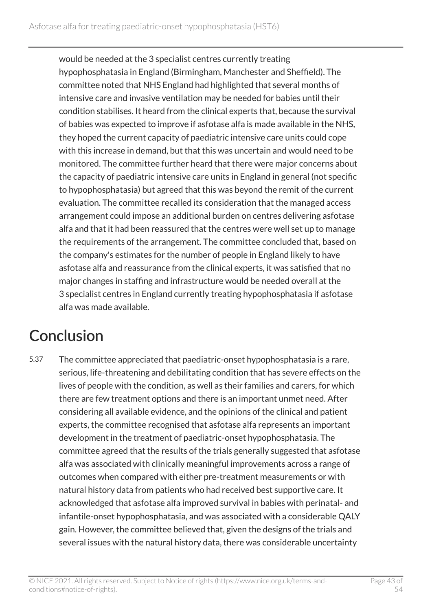would be needed at the 3 specialist centres currently treating hypophosphatasia in England (Birmingham, Manchester and Sheffield). The committee noted that NHS England had highlighted that several months of intensive care and invasive ventilation may be needed for babies until their condition stabilises. It heard from the clinical experts that, because the survival of babies was expected to improve if asfotase alfa is made available in the NHS, they hoped the current capacity of paediatric intensive care units could cope with this increase in demand, but that this was uncertain and would need to be monitored. The committee further heard that there were major concerns about the capacity of paediatric intensive care units in England in general (not specific to hypophosphatasia) but agreed that this was beyond the remit of the current evaluation. The committee recalled its consideration that the managed access arrangement could impose an additional burden on centres delivering asfotase alfa and that it had been reassured that the centres were well set up to manage the requirements of the arrangement. The committee concluded that, based on the company's estimates for the number of people in England likely to have asfotase alfa and reassurance from the clinical experts, it was satisfied that no major changes in staffing and infrastructure would be needed overall at the 3 specialist centres in England currently treating hypophosphatasia if asfotase alfa was made available.

## <span id="page-42-0"></span>**Conclusion**

5.37 The committee appreciated that paediatric-onset hypophosphatasia is a rare, serious, life-threatening and debilitating condition that has severe effects on the lives of people with the condition, as well as their families and carers, for which there are few treatment options and there is an important unmet need. After considering all available evidence, and the opinions of the clinical and patient experts, the committee recognised that asfotase alfa represents an important development in the treatment of paediatric-onset hypophosphatasia. The committee agreed that the results of the trials generally suggested that asfotase alfa was associated with clinically meaningful improvements across a range of outcomes when compared with either pre-treatment measurements or with natural history data from patients who had received best supportive care. It acknowledged that asfotase alfa improved survival in babies with perinatal- and infantile-onset hypophosphatasia, and was associated with a considerable QALY gain. However, the committee believed that, given the designs of the trials and several issues with the natural history data, there was considerable uncertainty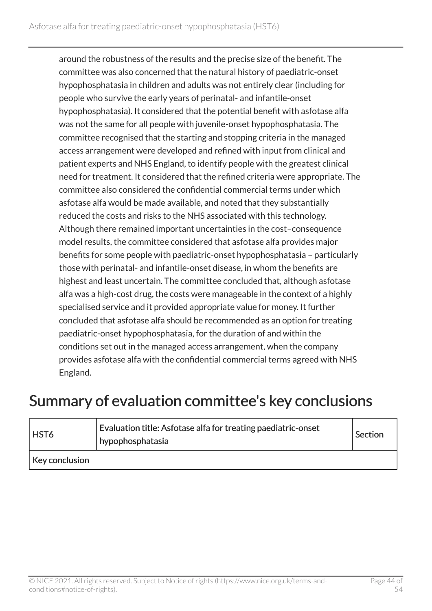around the robustness of the results and the precise size of the benefit. The committee was also concerned that the natural history of paediatric-onset hypophosphatasia in children and adults was not entirely clear (including for people who survive the early years of perinatal- and infantile-onset hypophosphatasia). It considered that the potential benefit with asfotase alfa was not the same for all people with juvenile-onset hypophosphatasia. The committee recognised that the starting and stopping criteria in the managed access arrangement were developed and refined with input from clinical and patient experts and NHS England, to identify people with the greatest clinical need for treatment. It considered that the refined criteria were appropriate. The committee also considered the confidential commercial terms under which asfotase alfa would be made available, and noted that they substantially reduced the costs and risks to the NHS associated with this technology. Although there remained important uncertainties in the cost–consequence model results, the committee considered that asfotase alfa provides major benefits for some people with paediatric-onset hypophosphatasia – particularly those with perinatal- and infantile-onset disease, in whom the benefits are highest and least uncertain. The committee concluded that, although asfotase alfa was a high-cost drug, the costs were manageable in the context of a highly specialised service and it provided appropriate value for money. It further concluded that asfotase alfa should be recommended as an option for treating paediatric-onset hypophosphatasia, for the duration of and within the conditions set out in the managed access arrangement, when the company provides asfotase alfa with the confidential commercial terms agreed with NHS England.

### <span id="page-43-0"></span>Summary of evaluation committee's key conclusions

| <b>HST6</b>    | Evaluation title: Asfotase alfa for treating paediatric-onset<br>hypophosphatasia | Section |
|----------------|-----------------------------------------------------------------------------------|---------|
| Key conclusion |                                                                                   |         |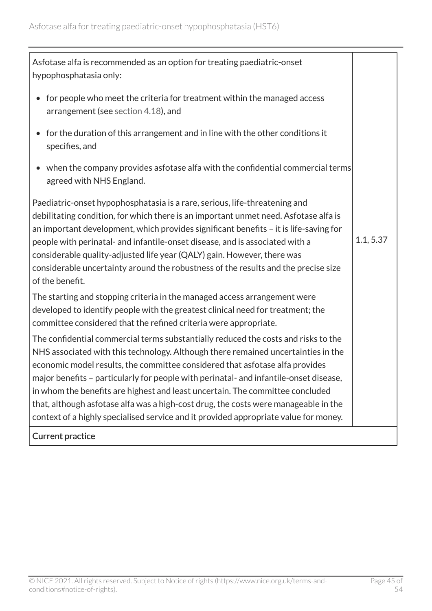| Asfotase alfa is recommended as an option for treating paediatric-onset<br>hypophosphatasia only:                                                                                                                                                                                                                                                                                                                                                                                                                                                                                                                |           |
|------------------------------------------------------------------------------------------------------------------------------------------------------------------------------------------------------------------------------------------------------------------------------------------------------------------------------------------------------------------------------------------------------------------------------------------------------------------------------------------------------------------------------------------------------------------------------------------------------------------|-----------|
| for people who meet the criteria for treatment within the managed access<br>$\bullet$<br>arrangement (see section 4.18), and                                                                                                                                                                                                                                                                                                                                                                                                                                                                                     |           |
| for the duration of this arrangement and in line with the other conditions it<br>$\bullet$<br>specifies, and                                                                                                                                                                                                                                                                                                                                                                                                                                                                                                     |           |
| when the company provides asfotase alfa with the confidential commercial terms<br>agreed with NHS England.                                                                                                                                                                                                                                                                                                                                                                                                                                                                                                       |           |
| Paediatric-onset hypophosphatasia is a rare, serious, life-threatening and<br>debilitating condition, for which there is an important unmet need. Asfotase alfa is<br>an important development, which provides significant benefits - it is life-saving for<br>people with perinatal- and infantile-onset disease, and is associated with a<br>considerable quality-adjusted life year (QALY) gain. However, there was<br>considerable uncertainty around the robustness of the results and the precise size<br>of the benefit.                                                                                  | 1.1, 5.37 |
| The starting and stopping criteria in the managed access arrangement were<br>developed to identify people with the greatest clinical need for treatment; the<br>committee considered that the refined criteria were appropriate.                                                                                                                                                                                                                                                                                                                                                                                 |           |
| The confidential commercial terms substantially reduced the costs and risks to the<br>NHS associated with this technology. Although there remained uncertainties in the<br>economic model results, the committee considered that asfotase alfa provides<br>major benefits - particularly for people with perinatal- and infantile-onset disease,<br>in whom the benefits are highest and least uncertain. The committee concluded<br>that, although asfotase alfa was a high-cost drug, the costs were manageable in the<br>context of a highly specialised service and it provided appropriate value for money. |           |
| <b>Current practice</b>                                                                                                                                                                                                                                                                                                                                                                                                                                                                                                                                                                                          |           |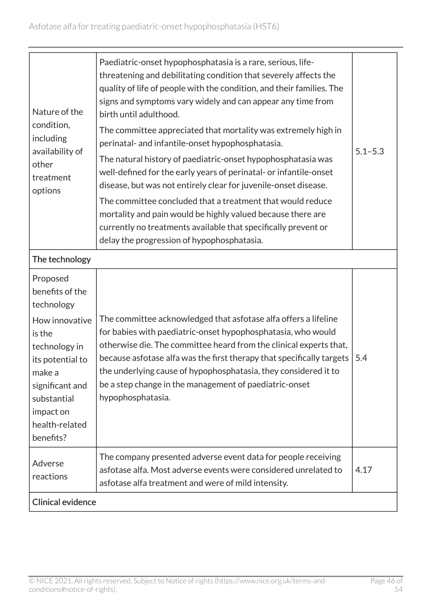| Nature of the<br>condition,<br>including<br>availability of<br>other<br>treatment<br>options<br>The technology                                                                                     | Paediatric-onset hypophosphatasia is a rare, serious, life-<br>threatening and debilitating condition that severely affects the<br>quality of life of people with the condition, and their families. The<br>signs and symptoms vary widely and can appear any time from<br>birth until adulthood.<br>The committee appreciated that mortality was extremely high in<br>perinatal- and infantile-onset hypophosphatasia.<br>The natural history of paediatric-onset hypophosphatasia was<br>well-defined for the early years of perinatal- or infantile-onset<br>disease, but was not entirely clear for juvenile-onset disease.<br>The committee concluded that a treatment that would reduce<br>mortality and pain would be highly valued because there are<br>currently no treatments available that specifically prevent or<br>delay the progression of hypophosphatasia. | $5.1 - 5.3$ |
|----------------------------------------------------------------------------------------------------------------------------------------------------------------------------------------------------|------------------------------------------------------------------------------------------------------------------------------------------------------------------------------------------------------------------------------------------------------------------------------------------------------------------------------------------------------------------------------------------------------------------------------------------------------------------------------------------------------------------------------------------------------------------------------------------------------------------------------------------------------------------------------------------------------------------------------------------------------------------------------------------------------------------------------------------------------------------------------|-------------|
| Proposed<br>benefits of the<br>technology<br>How innovative<br>is the<br>technology in<br>its potential to<br>make a<br>significant and<br>substantial<br>impact on<br>health-related<br>benefits? | The committee acknowledged that asfotase alfa offers a lifeline<br>for babies with paediatric-onset hypophosphatasia, who would<br>otherwise die. The committee heard from the clinical experts that,<br>because asfotase alfa was the first therapy that specifically targets<br>the underlying cause of hypophosphatasia, they considered it to<br>be a step change in the management of paediatric-onset<br>hypophosphatasia.                                                                                                                                                                                                                                                                                                                                                                                                                                             | 5.4         |
| Adverse<br>reactions                                                                                                                                                                               | The company presented adverse event data for people receiving<br>asfotase alfa. Most adverse events were considered unrelated to<br>asfotase alfa treatment and were of mild intensity.                                                                                                                                                                                                                                                                                                                                                                                                                                                                                                                                                                                                                                                                                      | 4.17        |
| <b>Clinical evidence</b>                                                                                                                                                                           |                                                                                                                                                                                                                                                                                                                                                                                                                                                                                                                                                                                                                                                                                                                                                                                                                                                                              |             |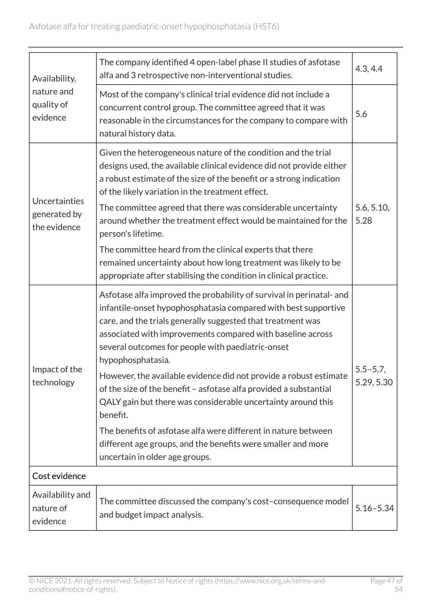| Availability,                                 | The company identified 4 open-label phase II studies of asfotase<br>alfa and 3 retrospective non-interventional studies.                                                                                                                                                                                                                                                                                                  | 4.3, 4.4           |
|-----------------------------------------------|---------------------------------------------------------------------------------------------------------------------------------------------------------------------------------------------------------------------------------------------------------------------------------------------------------------------------------------------------------------------------------------------------------------------------|--------------------|
| nature and<br>quality of<br>evidence          | Most of the company's clinical trial evidence did not include a<br>concurrent control group. The committee agreed that it was<br>reasonable in the circumstances for the company to compare with<br>natural history data.                                                                                                                                                                                                 | 5.6                |
| Uncertainties<br>generated by<br>the evidence | Given the heterogeneous nature of the condition and the trial<br>designs used, the available clinical evidence did not provide either<br>a robust estimate of the size of the benefit or a strong indication<br>of the likely variation in the treatment effect.<br>The committee agreed that there was considerable uncertainty<br>around whether the treatment effect would be maintained for the<br>person's lifetime. | 5.6, 5.10,<br>5.28 |
|                                               | The committee heard from the clinical experts that there<br>remained uncertainty about how long treatment was likely to be<br>appropriate after stabilising the condition in clinical practice.                                                                                                                                                                                                                           |                    |
| Impact of the<br>technology                   | Asfotase alfa improved the probability of survival in perinatal- and<br>infantile-onset hypophosphatasia compared with best supportive<br>care, and the trials generally suggested that treatment was<br>associated with improvements compared with baseline across<br>several outcomes for people with paediatric-onset<br>hypophosphatasia.                                                                             | $5.5 - 5.7$ ,      |
|                                               | However, the available evidence did not provide a robust estimate<br>of the size of the benefit - asfotase alfa provided a substantial<br>QALY gain but there was considerable uncertainty around this<br>benefit.                                                                                                                                                                                                        | 5.29, 5.30         |
|                                               | The benefits of asfotase alfa were different in nature between<br>different age groups, and the benefits were smaller and more<br>uncertain in older age groups.                                                                                                                                                                                                                                                          |                    |
| Cost evidence                                 |                                                                                                                                                                                                                                                                                                                                                                                                                           |                    |
| Availability and<br>nature of<br>evidence     | The committee discussed the company's cost-consequence model<br>and budget impact analysis.                                                                                                                                                                                                                                                                                                                               | $5.16 - 5.34$      |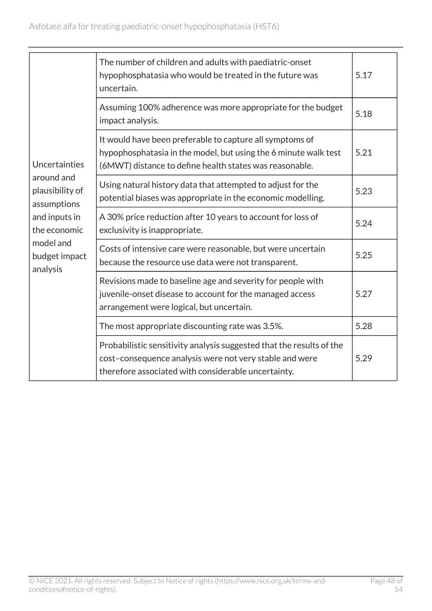|                                              | The number of children and adults with paediatric-onset<br>hypophosphatasia who would be treated in the future was<br>uncertain.                                                       | 5.17 |
|----------------------------------------------|----------------------------------------------------------------------------------------------------------------------------------------------------------------------------------------|------|
|                                              | Assuming 100% adherence was more appropriate for the budget<br>impact analysis.                                                                                                        | 5.18 |
| Uncertainties                                | It would have been preferable to capture all symptoms of<br>hypophosphatasia in the model, but using the 6 minute walk test<br>(6MWT) distance to define health states was reasonable. | 5.21 |
| around and<br>plausibility of<br>assumptions | Using natural history data that attempted to adjust for the<br>potential biases was appropriate in the economic modelling.                                                             | 5.23 |
| and inputs in<br>the economic                | A 30% price reduction after 10 years to account for loss of<br>exclusivity is inappropriate.                                                                                           | 5.24 |
| model and<br>budget impact<br>analysis       | Costs of intensive care were reasonable, but were uncertain<br>because the resource use data were not transparent.                                                                     | 5.25 |
|                                              | Revisions made to baseline age and severity for people with<br>juvenile-onset disease to account for the managed access<br>arrangement were logical, but uncertain.                    | 5.27 |
|                                              | The most appropriate discounting rate was 3.5%.                                                                                                                                        | 5.28 |
|                                              | Probabilistic sensitivity analysis suggested that the results of the<br>cost-consequence analysis were not very stable and were<br>therefore associated with considerable uncertainty. | 5.29 |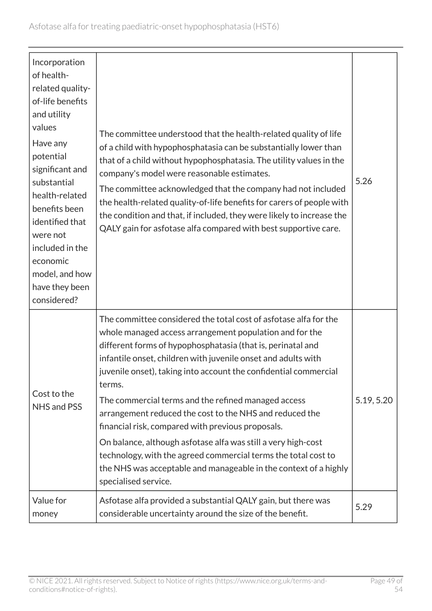| Incorporation<br>of health-<br>related quality-<br>of-life benefits<br>and utility<br>values<br>Have any<br>potential<br>significant and<br>substantial<br>health-related<br>benefits been<br>identified that<br>were not<br>included in the<br>economic<br>model, and how<br>have they been | The committee understood that the health-related quality of life<br>of a child with hypophosphatasia can be substantially lower than<br>that of a child without hypophosphatasia. The utility values in the<br>company's model were reasonable estimates.<br>The committee acknowledged that the company had not included<br>the health-related quality-of-life benefits for carers of people with<br>the condition and that, if included, they were likely to increase the<br>QALY gain for asfotase alfa compared with best supportive care.                                                                                                                                                                                                  | 5.26       |
|----------------------------------------------------------------------------------------------------------------------------------------------------------------------------------------------------------------------------------------------------------------------------------------------|-------------------------------------------------------------------------------------------------------------------------------------------------------------------------------------------------------------------------------------------------------------------------------------------------------------------------------------------------------------------------------------------------------------------------------------------------------------------------------------------------------------------------------------------------------------------------------------------------------------------------------------------------------------------------------------------------------------------------------------------------|------------|
| considered?<br>Cost to the<br>NHS and PSS                                                                                                                                                                                                                                                    | The committee considered the total cost of asfotase alfa for the<br>whole managed access arrangement population and for the<br>different forms of hypophosphatasia (that is, perinatal and<br>infantile onset, children with juvenile onset and adults with<br>juvenile onset), taking into account the confidential commercial<br>terms.<br>The commercial terms and the refined managed access<br>arrangement reduced the cost to the NHS and reduced the<br>financial risk, compared with previous proposals.<br>On balance, although asfotase alfa was still a very high-cost<br>technology, with the agreed commercial terms the total cost to<br>the NHS was acceptable and manageable in the context of a highly<br>specialised service. | 5.19, 5.20 |
| Value for<br>money                                                                                                                                                                                                                                                                           | Asfotase alfa provided a substantial QALY gain, but there was<br>considerable uncertainty around the size of the benefit.                                                                                                                                                                                                                                                                                                                                                                                                                                                                                                                                                                                                                       | 5.29       |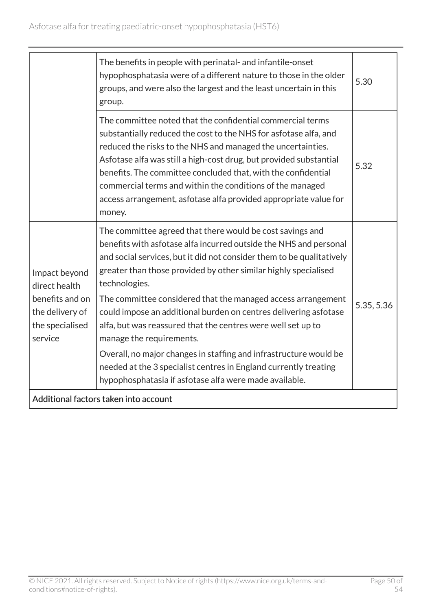|                                                                                                    | The benefits in people with perinatal- and infantile-onset<br>hypophosphatasia were of a different nature to those in the older<br>groups, and were also the largest and the least uncertain in this<br>group.                                                                                                                                                                                                                                                                                                                                                                                                                                                       | 5.30       |  |
|----------------------------------------------------------------------------------------------------|----------------------------------------------------------------------------------------------------------------------------------------------------------------------------------------------------------------------------------------------------------------------------------------------------------------------------------------------------------------------------------------------------------------------------------------------------------------------------------------------------------------------------------------------------------------------------------------------------------------------------------------------------------------------|------------|--|
|                                                                                                    | The committee noted that the confidential commercial terms<br>substantially reduced the cost to the NHS for asfotase alfa, and<br>reduced the risks to the NHS and managed the uncertainties.<br>Asfotase alfa was still a high-cost drug, but provided substantial<br>benefits. The committee concluded that, with the confidential<br>commercial terms and within the conditions of the managed<br>access arrangement, asfotase alfa provided appropriate value for<br>money.                                                                                                                                                                                      | 5.32       |  |
| Impact beyond<br>direct health<br>benefits and on<br>the delivery of<br>the specialised<br>service | The committee agreed that there would be cost savings and<br>benefits with asfotase alfa incurred outside the NHS and personal<br>and social services, but it did not consider them to be qualitatively<br>greater than those provided by other similar highly specialised<br>technologies.<br>The committee considered that the managed access arrangement<br>could impose an additional burden on centres delivering asfotase<br>alfa, but was reassured that the centres were well set up to<br>manage the requirements.<br>Overall, no major changes in staffing and infrastructure would be<br>needed at the 3 specialist centres in England currently treating | 5.35, 5.36 |  |
|                                                                                                    | hypophosphatasia if asfotase alfa were made available.                                                                                                                                                                                                                                                                                                                                                                                                                                                                                                                                                                                                               |            |  |
| Additional factors taken into account                                                              |                                                                                                                                                                                                                                                                                                                                                                                                                                                                                                                                                                                                                                                                      |            |  |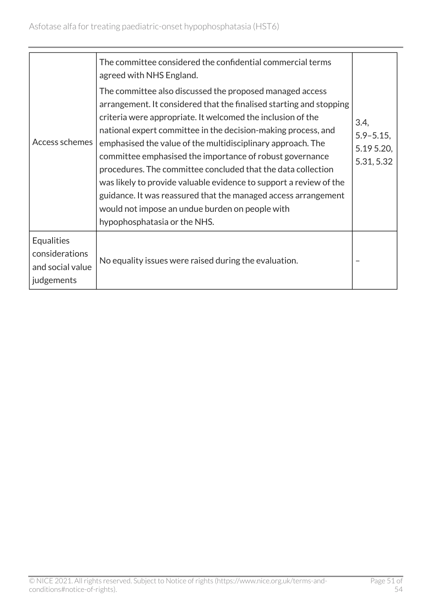| Access schemes                                                 | The committee considered the confidential commercial terms<br>agreed with NHS England.<br>The committee also discussed the proposed managed access<br>arrangement. It considered that the finalised starting and stopping<br>criteria were appropriate. It welcomed the inclusion of the<br>national expert committee in the decision-making process, and<br>emphasised the value of the multidisciplinary approach. The<br>committee emphasised the importance of robust governance<br>procedures. The committee concluded that the data collection<br>was likely to provide valuable evidence to support a review of the<br>guidance. It was reassured that the managed access arrangement<br>would not impose an undue burden on people with<br>hypophosphatasia or the NHS. | 3.4,<br>$5.9 - 5.15$ ,<br>5.195.20,<br>5.31, 5.32 |
|----------------------------------------------------------------|---------------------------------------------------------------------------------------------------------------------------------------------------------------------------------------------------------------------------------------------------------------------------------------------------------------------------------------------------------------------------------------------------------------------------------------------------------------------------------------------------------------------------------------------------------------------------------------------------------------------------------------------------------------------------------------------------------------------------------------------------------------------------------|---------------------------------------------------|
| Equalities<br>considerations<br>and social value<br>judgements | No equality issues were raised during the evaluation.                                                                                                                                                                                                                                                                                                                                                                                                                                                                                                                                                                                                                                                                                                                           |                                                   |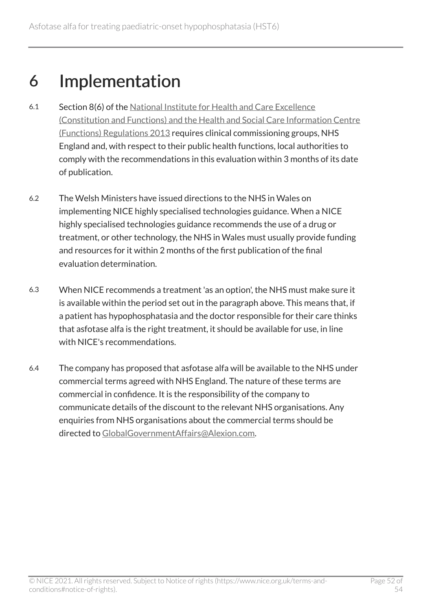## <span id="page-51-0"></span>6 Implementation

- 6.1 Section 8(6) of the [National Institute for Health and Care Excellence](http://www.legislation.gov.uk/uksi/2013/259/contents/made)  [\(Constitution and Functions\) and the Health and Social Care Information Centre](http://www.legislation.gov.uk/uksi/2013/259/contents/made)  [\(Functions\) Regulations 2013](http://www.legislation.gov.uk/uksi/2013/259/contents/made) requires clinical commissioning groups, NHS England and, with respect to their public health functions, local authorities to comply with the recommendations in this evaluation within 3 months of its date of publication.
- 6.2 The Welsh Ministers have issued directions to the NHS in Wales on implementing NICE highly specialised technologies guidance. When a NICE highly specialised technologies guidance recommends the use of a drug or treatment, or other technology, the NHS in Wales must usually provide funding and resources for it within 2 months of the first publication of the final evaluation determination.
- 6.3 When NICE recommends a treatment 'as an option', the NHS must make sure it is available within the period set out in the paragraph above. This means that, if a patient has hypophosphatasia and the doctor responsible for their care thinks that asfotase alfa is the right treatment, it should be available for use, in line with NICE's recommendations.
- 6.4 The company has proposed that asfotase alfa will be available to the NHS under commercial terms agreed with NHS England. The nature of these terms are commercial in confidence. It is the responsibility of the company to communicate details of the discount to the relevant NHS organisations. Any enquiries from NHS organisations about the commercial terms should be directed to [GlobalGovernmentAffairs@Alexion.com](mailto:GlobalGovernmentAffairs@alexion.com).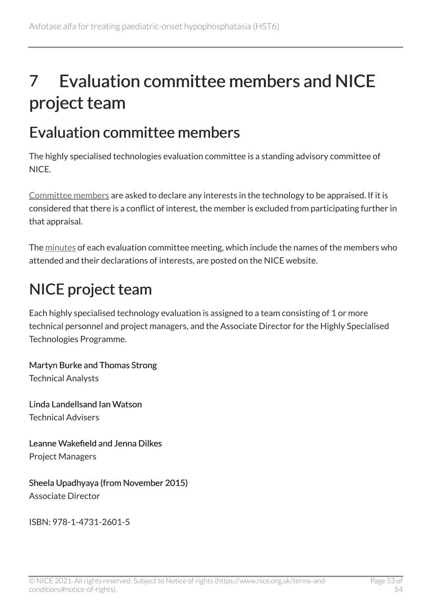## <span id="page-52-0"></span>7 Evaluation committee members and NICE project team

## <span id="page-52-1"></span>Evaluation committee members

The highly specialised technologies evaluation committee is a standing advisory committee of NICE.

[Committee members](https://www.nice.org.uk/Get-Involved/Meetings-in-public/Highly-Specialised-Technologies-Evaluation-Committee/Members) are asked to declare any interests in the technology to be appraised. If it is considered that there is a conflict of interest, the member is excluded from participating further in that appraisal.

The [minutes](https://www.nice.org.uk/Get-Involved/Meetings-in-public/Highly-Specialised-Technologies-Evaluation-Committee) of each evaluation committee meeting, which include the names of the members who attended and their declarations of interests, are posted on the NICE website.

## <span id="page-52-2"></span>NICE project team

Each highly specialised technology evaluation is assigned to a team consisting of 1 or more technical personnel and project managers, and the Associate Director for the Highly Specialised Technologies Programme.

Martyn Burke and Thomas Strong Technical Analysts

Linda Landellsand Ian Watson Technical Advisers

Leanne Wakefield and Jenna Dilkes Project Managers

Sheela Upadhyaya (from November 2015) Associate Director

ISBN: 978-1-4731-2601-5